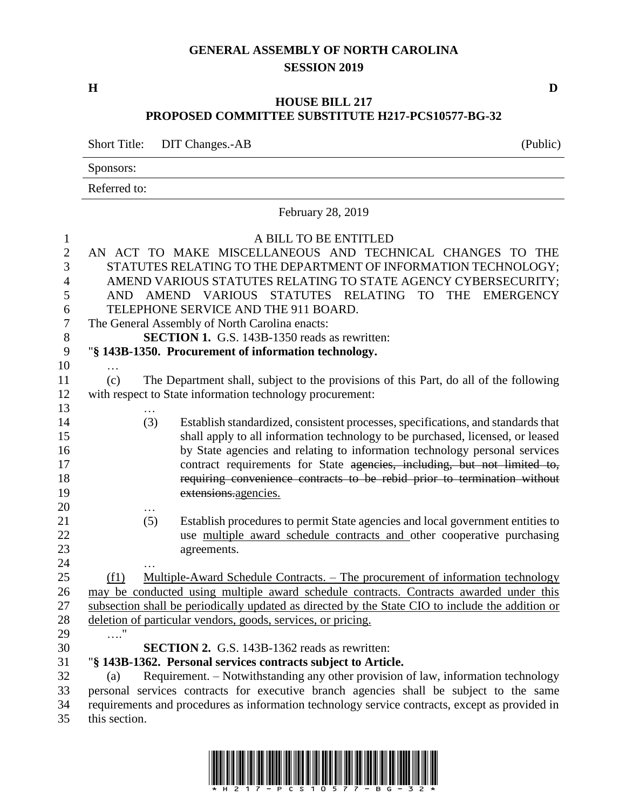### **GENERAL ASSEMBLY OF NORTH CAROLINA SESSION 2019**

**H D**

### **HOUSE BILL 217 PROPOSED COMMITTEE SUBSTITUTE H217-PCS10577-BG-32**

Short Title: DIT Changes.-AB (Public)

Sponsors:

Referred to:

|                                                                  | February 28, 2019                                                                              |     |                                                                                                                                                                                                                                                  |  |  |  |
|------------------------------------------------------------------|------------------------------------------------------------------------------------------------|-----|--------------------------------------------------------------------------------------------------------------------------------------------------------------------------------------------------------------------------------------------------|--|--|--|
| $\mathbf{1}$<br>$\mathbf{2}$<br>$\overline{3}$<br>$\overline{4}$ |                                                                                                |     | A BILL TO BE ENTITLED<br>AN ACT TO MAKE MISCELLANEOUS AND TECHNICAL CHANGES TO THE<br>STATUTES RELATING TO THE DEPARTMENT OF INFORMATION TECHNOLOGY;<br>AMEND VARIOUS STATUTES RELATING TO STATE AGENCY CYBERSECURITY;                           |  |  |  |
| 5                                                                | AND                                                                                            |     | <b>THE</b><br>AMEND VARIOUS<br>STATUTES RELATING TO<br><b>EMERGENCY</b>                                                                                                                                                                          |  |  |  |
| 6                                                                |                                                                                                |     | TELEPHONE SERVICE AND THE 911 BOARD.                                                                                                                                                                                                             |  |  |  |
| $\boldsymbol{7}$                                                 |                                                                                                |     | The General Assembly of North Carolina enacts:                                                                                                                                                                                                   |  |  |  |
| 8                                                                |                                                                                                |     | <b>SECTION 1.</b> G.S. 143B-1350 reads as rewritten:                                                                                                                                                                                             |  |  |  |
| 9                                                                |                                                                                                |     | "§ 143B-1350. Procurement of information technology.                                                                                                                                                                                             |  |  |  |
| 10<br>11<br>12                                                   | (c)                                                                                            |     | The Department shall, subject to the provisions of this Part, do all of the following<br>with respect to State information technology procurement:                                                                                               |  |  |  |
| 13                                                               |                                                                                                |     |                                                                                                                                                                                                                                                  |  |  |  |
| 14<br>15<br>16                                                   |                                                                                                | (3) | Establish standardized, consistent processes, specifications, and standards that<br>shall apply to all information technology to be purchased, licensed, or leased<br>by State agencies and relating to information technology personal services |  |  |  |
| 17<br>18<br>19                                                   |                                                                                                |     | contract requirements for State agencies, including, but not limited to,<br>requiring convenience contracts to be rebid prior to termination without<br>extensions.agencies.                                                                     |  |  |  |
| 20                                                               |                                                                                                |     |                                                                                                                                                                                                                                                  |  |  |  |
| 21<br>22<br>23                                                   |                                                                                                | (5) | Establish procedures to permit State agencies and local government entities to<br>use multiple award schedule contracts and other cooperative purchasing<br>agreements.                                                                          |  |  |  |
| 24                                                               |                                                                                                |     |                                                                                                                                                                                                                                                  |  |  |  |
| 25                                                               | (f1)                                                                                           |     | Multiple-Award Schedule Contracts. – The procurement of information technology                                                                                                                                                                   |  |  |  |
| 26                                                               |                                                                                                |     | may be conducted using multiple award schedule contracts. Contracts awarded under this                                                                                                                                                           |  |  |  |
| 27                                                               |                                                                                                |     | subsection shall be periodically updated as directed by the State CIO to include the addition or                                                                                                                                                 |  |  |  |
| 28                                                               |                                                                                                |     | deletion of particular vendors, goods, services, or pricing.                                                                                                                                                                                     |  |  |  |
| 29                                                               | $\ldots$ "                                                                                     |     |                                                                                                                                                                                                                                                  |  |  |  |
| 30                                                               |                                                                                                |     | <b>SECTION 2.</b> G.S. 143B-1362 reads as rewritten:                                                                                                                                                                                             |  |  |  |
| 31                                                               |                                                                                                |     | "§ 143B-1362. Personal services contracts subject to Article.                                                                                                                                                                                    |  |  |  |
| 32                                                               | (a)                                                                                            |     | Requirement. – Notwithstanding any other provision of law, information technology                                                                                                                                                                |  |  |  |
| 33                                                               |                                                                                                |     | personal services contracts for executive branch agencies shall be subject to the same                                                                                                                                                           |  |  |  |
| 34                                                               | requirements and procedures as information technology service contracts, except as provided in |     |                                                                                                                                                                                                                                                  |  |  |  |
| 35                                                               | this section.                                                                                  |     |                                                                                                                                                                                                                                                  |  |  |  |

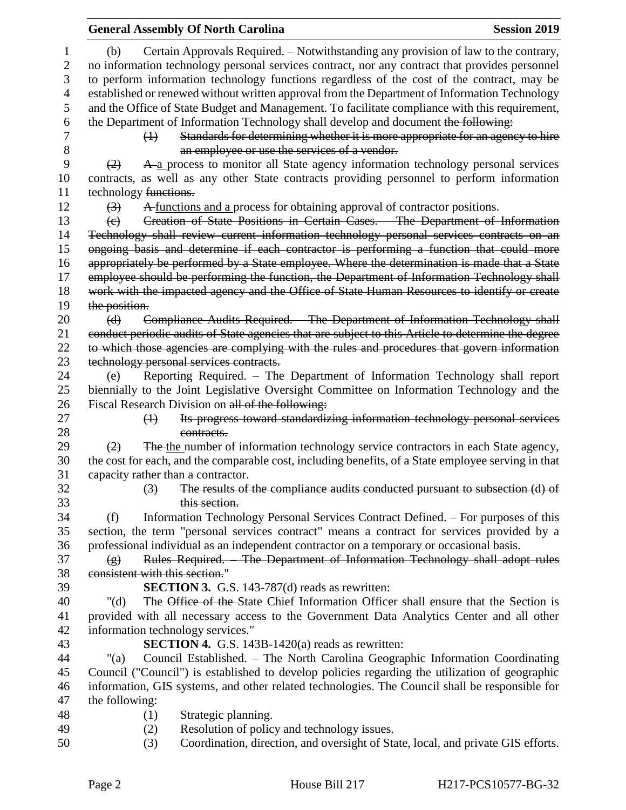|                                    | <b>General Assembly Of North Carolina</b>                                                           | <b>Session 2019</b> |
|------------------------------------|-----------------------------------------------------------------------------------------------------|---------------------|
| (b)                                | Certain Approvals Required. – Notwithstanding any provision of law to the contrary,                 |                     |
|                                    | no information technology personal services contract, nor any contract that provides personnel      |                     |
|                                    | to perform information technology functions regardless of the cost of the contract, may be          |                     |
|                                    | established or renewed without written approval from the Department of Information Technology       |                     |
|                                    | and the Office of State Budget and Management. To facilitate compliance with this requirement,      |                     |
|                                    | the Department of Information Technology shall develop and document the following:                  |                     |
| $\leftrightarrow$                  | Standards for determining whether it is more appropriate for an agency to hire                      |                     |
|                                    | an employee or use the services of a vendor.                                                        |                     |
| (2)                                | A a process to monitor all State agency information technology personal services                    |                     |
|                                    | contracts, as well as any other State contracts providing personnel to perform information          |                     |
| technology functions.              |                                                                                                     |                     |
| (3)                                | A functions and a process for obtaining approval of contractor positions.                           |                     |
| $\left(\mathrm{e}\right)$          | Creation of State Positions in Certain Cases. The Department of Information                         |                     |
|                                    | Technology shall review current information technology personal services contracts on an            |                     |
|                                    | ongoing basis and determine if each contractor is performing a function that could more             |                     |
|                                    | appropriately be performed by a State employee. Where the determination is made that a State        |                     |
|                                    | employee should be performing the function, the Department of Information Technology shall          |                     |
|                                    | work with the impacted agency and the Office of State Human Resources to identify or create         |                     |
| the position.                      |                                                                                                     |                     |
| (d)                                | Compliance Audits Required. - The Department of Information Technology shall                        |                     |
|                                    | conduct periodic audits of State agencies that are subject to this Article to determine the degree  |                     |
|                                    | to which those agencies are complying with the rules and procedures that govern information         |                     |
|                                    | technology personal services contracts.                                                             |                     |
| (e)                                | Reporting Required. - The Department of Information Technology shall report                         |                     |
|                                    | biennially to the Joint Legislative Oversight Committee on Information Technology and the           |                     |
|                                    | Fiscal Research Division on all of the following:                                                   |                     |
| $\leftrightarrow$                  | Its progress toward standardizing information technology personal services                          |                     |
|                                    | contracts.                                                                                          |                     |
| (2)                                | The the number of information technology service contractors in each State agency,                  |                     |
|                                    | the cost for each, and the comparable cost, including benefits, of a State employee serving in that |                     |
| capacity rather than a contractor. |                                                                                                     |                     |
| $\left(3\right)$                   | The results of the compliance audits conducted pursuant to subsection (d) of                        |                     |
|                                    | this section.                                                                                       |                     |
| (f)                                | Information Technology Personal Services Contract Defined. – For purposes of this                   |                     |
|                                    | section, the term "personal services contract" means a contract for services provided by a          |                     |
|                                    | professional individual as an independent contractor on a temporary or occasional basis.            |                     |
| $\left( \frac{1}{2} \right)$       | Rules Required. The Department of Information Technology shall adopt rules                          |                     |
| consistent with this section."     |                                                                                                     |                     |
|                                    | <b>SECTION 3.</b> G.S. 143-787(d) reads as rewritten:                                               |                     |
| " $(d)$                            | The Office of the State Chief Information Officer shall ensure that the Section is                  |                     |
|                                    | provided with all necessary access to the Government Data Analytics Center and all other            |                     |
| information technology services."  |                                                                                                     |                     |
|                                    | <b>SECTION 4.</b> G.S. 143B-1420(a) reads as rewritten:                                             |                     |
| " $(a)$                            | Council Established. – The North Carolina Geographic Information Coordinating                       |                     |
|                                    | Council ("Council") is established to develop policies regarding the utilization of geographic      |                     |
|                                    | information, GIS systems, and other related technologies. The Council shall be responsible for      |                     |
| the following:                     |                                                                                                     |                     |
| (1)                                | Strategic planning.                                                                                 |                     |
| (2)                                | Resolution of policy and technology issues.                                                         |                     |
| (3)                                | Coordination, direction, and oversight of State, local, and private GIS efforts.                    |                     |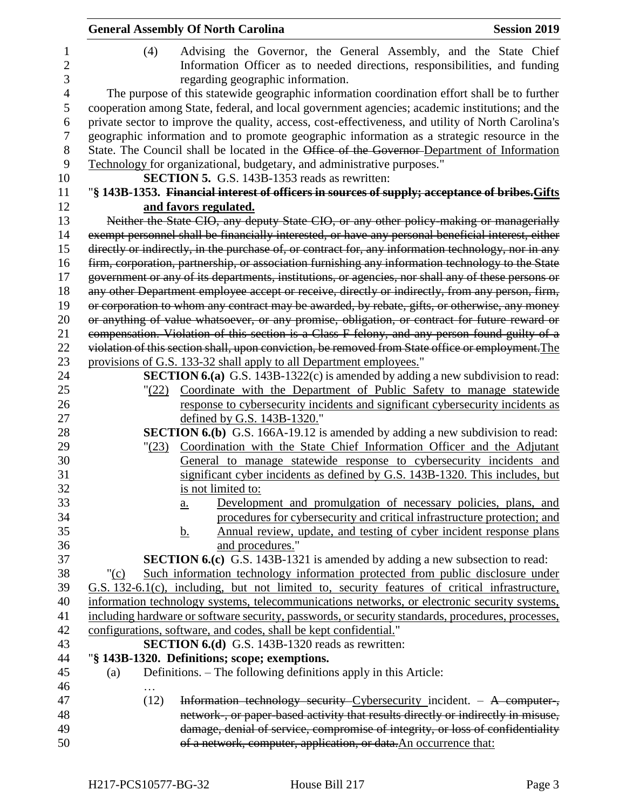|                          | <b>General Assembly Of North Carolina</b><br><b>Session 2019</b>                                                                                                                           |
|--------------------------|--------------------------------------------------------------------------------------------------------------------------------------------------------------------------------------------|
| 1<br>$\overline{c}$<br>3 | Advising the Governor, the General Assembly, and the State Chief<br>(4)<br>Information Officer as to needed directions, responsibilities, and funding<br>regarding geographic information. |
| $\overline{4}$           | The purpose of this statewide geographic information coordination effort shall be to further                                                                                               |
| 5                        | cooperation among State, federal, and local government agencies; academic institutions; and the                                                                                            |
| 6                        | private sector to improve the quality, access, cost-effectiveness, and utility of North Carolina's                                                                                         |
| $\overline{7}$           | geographic information and to promote geographic information as a strategic resource in the                                                                                                |
| 8                        | State. The Council shall be located in the Office of the Governor-Department of Information                                                                                                |
| 9                        | Technology for organizational, budgetary, and administrative purposes."                                                                                                                    |
| 10                       | <b>SECTION 5.</b> G.S. 143B-1353 reads as rewritten:                                                                                                                                       |
| 11<br>12                 | "§ 143B-1353. Financial interest of officers in sources of supply; acceptance of bribes. Gifts                                                                                             |
| 13                       | and favors regulated.<br>Neither the State CIO, any deputy State CIO, or any other policy-making or managerially                                                                           |
| 14                       | exempt personnel shall be financially interested, or have any personal beneficial interest, either                                                                                         |
| 15                       | directly or indirectly, in the purchase of, or contract for, any information technology, nor in any                                                                                        |
| 16                       | firm, corporation, partnership, or association furnishing any information technology to the State                                                                                          |
| 17                       | government or any of its departments, institutions, or agencies, nor shall any of these persons or                                                                                         |
| 18                       | any other Department employee accept or receive, directly or indirectly, from any person, firm,                                                                                            |
| 19                       | or corporation to whom any contract may be awarded, by rebate, gifts, or otherwise, any money                                                                                              |
| 20                       | or anything of value whatsoever, or any promise, obligation, or contract for future reward or                                                                                              |
| 21                       | compensation. Violation of this section is a Class F felony, and any person found guilty of a                                                                                              |
| 22                       | violation of this section shall, upon conviction, be removed from State office or employment. The                                                                                          |
| 23                       | provisions of G.S. 133-32 shall apply to all Department employees."                                                                                                                        |
| 24                       | <b>SECTION 6.(a)</b> G.S. 143B-1322(c) is amended by adding a new subdivision to read:                                                                                                     |
| 25                       | Coordinate with the Department of Public Safety to manage statewide<br>(22)                                                                                                                |
| 26                       | response to cybersecurity incidents and significant cybersecurity incidents as                                                                                                             |
| 27                       | defined by G.S. 143B-1320."                                                                                                                                                                |
| 28                       | <b>SECTION 6.(b)</b> G.S. 166A-19.12 is amended by adding a new subdivision to read:                                                                                                       |
| 29                       | Coordination with the State Chief Information Officer and the Adjutant<br>"(23)                                                                                                            |
| 30                       | General to manage statewide response to cybersecurity incidents and                                                                                                                        |
| 31                       | significant cyber incidents as defined by G.S. 143B-1320. This includes, but                                                                                                               |
| 32<br>33                 | is not limited to:                                                                                                                                                                         |
| 34                       | Development and promulgation of necessary policies, plans, and<br>$\underline{a}$ .<br>procedures for cybersecurity and critical infrastructure protection; and                            |
| 35                       | Annual review, update, and testing of cyber incident response plans<br><u>b.</u>                                                                                                           |
| 36                       | and procedures."                                                                                                                                                                           |
| 37                       | <b>SECTION 6.(c)</b> G.S. 143B-1321 is amended by adding a new subsection to read:                                                                                                         |
| 38                       | Such information technology information protected from public disclosure under<br>" $(c)$                                                                                                  |
| 39                       | G.S. 132-6.1(c), including, but not limited to, security features of critical infrastructure,                                                                                              |
| 40                       | information technology systems, telecommunications networks, or electronic security systems,                                                                                               |
| 41                       | including hardware or software security, passwords, or security standards, procedures, processes,                                                                                          |
| 42                       | configurations, software, and codes, shall be kept confidential."                                                                                                                          |
| 43                       | <b>SECTION 6.(d)</b> G.S. 143B-1320 reads as rewritten:                                                                                                                                    |
| 44                       | "§ 143B-1320. Definitions; scope; exemptions.                                                                                                                                              |
| 45                       | Definitions. – The following definitions apply in this Article:<br>(a)                                                                                                                     |
| 46                       |                                                                                                                                                                                            |
| 47                       | Information technology security Cybersecurity incident. - A computer,<br>(12)                                                                                                              |
| 48                       | network, or paper based activity that results directly or indirectly in misuse,                                                                                                            |
| 49                       | damage, denial of service, compromise of integrity, or loss of confidentiality                                                                                                             |
| 50                       | of a network, computer, application, or data. An occurrence that:                                                                                                                          |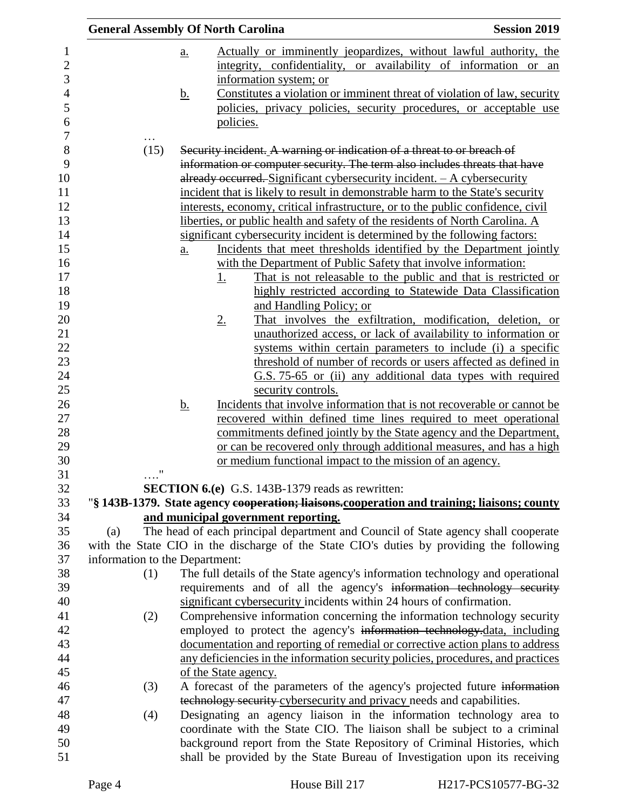|                                | <b>General Assembly Of North Carolina</b>                                                   | <b>Session 2019</b>                                                                                                          |
|--------------------------------|---------------------------------------------------------------------------------------------|------------------------------------------------------------------------------------------------------------------------------|
|                                | $\underline{a}$ .                                                                           | Actually or imminently jeopardizes, without lawful authority, the                                                            |
|                                |                                                                                             | integrity, confidentiality, or availability of information or an                                                             |
|                                | information system; or                                                                      |                                                                                                                              |
|                                | <u>b.</u>                                                                                   | Constitutes a violation or imminent threat of violation of law, security                                                     |
|                                |                                                                                             | policies, privacy policies, security procedures, or acceptable use                                                           |
|                                | policies.                                                                                   |                                                                                                                              |
|                                |                                                                                             |                                                                                                                              |
| (15)                           | Security incident. A warning or indication of a threat to or breach of                      |                                                                                                                              |
|                                | information or computer security. The term also includes threats that have                  |                                                                                                                              |
|                                | already occurred. Significant cybersecurity incident. - A cybersecurity                     |                                                                                                                              |
|                                | incident that is likely to result in demonstrable harm to the State's security              |                                                                                                                              |
|                                | interests, economy, critical infrastructure, or to the public confidence, civil             |                                                                                                                              |
|                                | liberties, or public health and safety of the residents of North Carolina. A                |                                                                                                                              |
|                                | significant cybersecurity incident is determined by the following factors:                  |                                                                                                                              |
|                                | $\underline{a}$ .                                                                           | Incidents that meet thresholds identified by the Department jointly                                                          |
|                                | with the Department of Public Safety that involve information:                              |                                                                                                                              |
|                                | 1.                                                                                          | That is not releasable to the public and that is restricted or                                                               |
|                                |                                                                                             | highly restricted according to Statewide Data Classification                                                                 |
|                                | and Handling Policy; or                                                                     |                                                                                                                              |
|                                | $2_{\cdot}$                                                                                 | That involves the exfiltration, modification, deletion, or<br>unauthorized access, or lack of availability to information or |
|                                |                                                                                             | systems within certain parameters to include (i) a specific                                                                  |
|                                |                                                                                             | threshold of number of records or users affected as defined in                                                               |
|                                |                                                                                             | G.S. 75-65 or (ii) any additional data types with required                                                                   |
|                                | security controls.                                                                          |                                                                                                                              |
|                                | <u>b.</u>                                                                                   | Incidents that involve information that is not recoverable or cannot be                                                      |
|                                |                                                                                             | recovered within defined time lines required to meet operational                                                             |
|                                |                                                                                             | commitments defined jointly by the State agency and the Department,                                                          |
|                                |                                                                                             | or can be recovered only through additional measures, and has a high                                                         |
|                                | or medium functional impact to the mission of an agency.                                    |                                                                                                                              |
| 11<br>$\cdots$                 |                                                                                             |                                                                                                                              |
|                                | <b>SECTION 6.(e)</b> G.S. 143B-1379 reads as rewritten:                                     |                                                                                                                              |
|                                | "§ 143B-1379. State agency cooperation; liaisons-cooperation and training; liaisons; county |                                                                                                                              |
|                                | and municipal government reporting.                                                         |                                                                                                                              |
| (a)                            | The head of each principal department and Council of State agency shall cooperate           |                                                                                                                              |
| information to the Department: | with the State CIO in the discharge of the State CIO's duties by providing the following    |                                                                                                                              |
| (1)                            | The full details of the State agency's information technology and operational               |                                                                                                                              |
|                                | requirements and of all the agency's information technology security                        |                                                                                                                              |
|                                | significant cybersecurity incidents within 24 hours of confirmation.                        |                                                                                                                              |
| (2)                            | Comprehensive information concerning the information technology security                    |                                                                                                                              |
|                                | employed to protect the agency's information technology-data, including                     |                                                                                                                              |
|                                | documentation and reporting of remedial or corrective action plans to address               |                                                                                                                              |
|                                | any deficiencies in the information security policies, procedures, and practices            |                                                                                                                              |
|                                | of the State agency.                                                                        |                                                                                                                              |
| (3)                            | A forecast of the parameters of the agency's projected future information                   |                                                                                                                              |
|                                | technology security cybersecurity and privacy needs and capabilities.                       |                                                                                                                              |
| (4)                            | Designating an agency liaison in the information technology area to                         |                                                                                                                              |
|                                | coordinate with the State CIO. The liaison shall be subject to a criminal                   |                                                                                                                              |
|                                | background report from the State Repository of Criminal Histories, which                    |                                                                                                                              |
|                                | shall be provided by the State Bureau of Investigation upon its receiving                   |                                                                                                                              |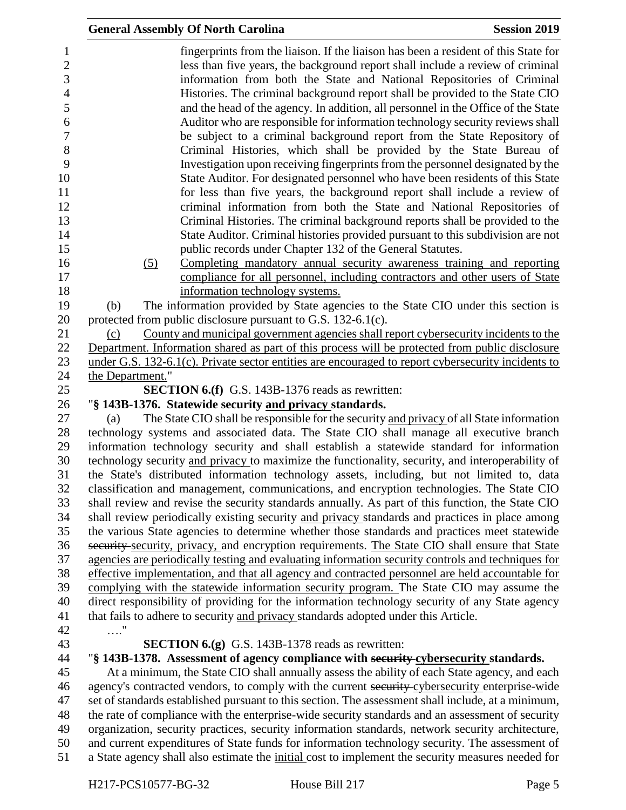|                                                                                                                           |                  | <b>General Assembly Of North Carolina</b>                                                                                                                                                                                                                                                                                                                                                                                                                                                                                                                                                                                                                                                                                                                                                                                                                                                                                                                                      | <b>Session 2019</b> |
|---------------------------------------------------------------------------------------------------------------------------|------------------|--------------------------------------------------------------------------------------------------------------------------------------------------------------------------------------------------------------------------------------------------------------------------------------------------------------------------------------------------------------------------------------------------------------------------------------------------------------------------------------------------------------------------------------------------------------------------------------------------------------------------------------------------------------------------------------------------------------------------------------------------------------------------------------------------------------------------------------------------------------------------------------------------------------------------------------------------------------------------------|---------------------|
| $\mathbf{1}$<br>$\sqrt{2}$<br>3<br>$\overline{\mathcal{L}}$<br>5<br>6<br>$\boldsymbol{7}$<br>$8\,$<br>9<br>10<br>11<br>12 |                  | fingerprints from the liaison. If the liaison has been a resident of this State for<br>less than five years, the background report shall include a review of criminal<br>information from both the State and National Repositories of Criminal<br>Histories. The criminal background report shall be provided to the State CIO<br>and the head of the agency. In addition, all personnel in the Office of the State<br>Auditor who are responsible for information technology security reviews shall<br>be subject to a criminal background report from the State Repository of<br>Criminal Histories, which shall be provided by the State Bureau of<br>Investigation upon receiving fingerprints from the personnel designated by the<br>State Auditor. For designated personnel who have been residents of this State<br>for less than five years, the background report shall include a review of<br>criminal information from both the State and National Repositories of |                     |
| 13                                                                                                                        |                  | Criminal Histories. The criminal background reports shall be provided to the                                                                                                                                                                                                                                                                                                                                                                                                                                                                                                                                                                                                                                                                                                                                                                                                                                                                                                   |                     |
| 14                                                                                                                        |                  | State Auditor. Criminal histories provided pursuant to this subdivision are not                                                                                                                                                                                                                                                                                                                                                                                                                                                                                                                                                                                                                                                                                                                                                                                                                                                                                                |                     |
| 15                                                                                                                        |                  | public records under Chapter 132 of the General Statutes.                                                                                                                                                                                                                                                                                                                                                                                                                                                                                                                                                                                                                                                                                                                                                                                                                                                                                                                      |                     |
| 16                                                                                                                        | (5)              | Completing mandatory annual security awareness training and reporting                                                                                                                                                                                                                                                                                                                                                                                                                                                                                                                                                                                                                                                                                                                                                                                                                                                                                                          |                     |
|                                                                                                                           |                  | compliance for all personnel, including contractors and other users of State                                                                                                                                                                                                                                                                                                                                                                                                                                                                                                                                                                                                                                                                                                                                                                                                                                                                                                   |                     |
|                                                                                                                           |                  | information technology systems.                                                                                                                                                                                                                                                                                                                                                                                                                                                                                                                                                                                                                                                                                                                                                                                                                                                                                                                                                |                     |
|                                                                                                                           | (b)              | The information provided by State agencies to the State CIO under this section is                                                                                                                                                                                                                                                                                                                                                                                                                                                                                                                                                                                                                                                                                                                                                                                                                                                                                              |                     |
|                                                                                                                           |                  | protected from public disclosure pursuant to G.S. 132-6.1(c).                                                                                                                                                                                                                                                                                                                                                                                                                                                                                                                                                                                                                                                                                                                                                                                                                                                                                                                  |                     |
|                                                                                                                           | (c)              | County and municipal government agencies shall report cybersecurity incidents to the                                                                                                                                                                                                                                                                                                                                                                                                                                                                                                                                                                                                                                                                                                                                                                                                                                                                                           |                     |
|                                                                                                                           |                  | Department. Information shared as part of this process will be protected from public disclosure                                                                                                                                                                                                                                                                                                                                                                                                                                                                                                                                                                                                                                                                                                                                                                                                                                                                                |                     |
|                                                                                                                           |                  | under G.S. 132-6.1(c). Private sector entities are encouraged to report cybersecurity incidents to                                                                                                                                                                                                                                                                                                                                                                                                                                                                                                                                                                                                                                                                                                                                                                                                                                                                             |                     |
|                                                                                                                           | the Department." | <b>SECTION 6.(f)</b> G.S. 143B-1376 reads as rewritten:                                                                                                                                                                                                                                                                                                                                                                                                                                                                                                                                                                                                                                                                                                                                                                                                                                                                                                                        |                     |
|                                                                                                                           |                  | "§ 143B-1376. Statewide security and privacy standards.                                                                                                                                                                                                                                                                                                                                                                                                                                                                                                                                                                                                                                                                                                                                                                                                                                                                                                                        |                     |
|                                                                                                                           | (a)              | The State CIO shall be responsible for the security and privacy of all State information                                                                                                                                                                                                                                                                                                                                                                                                                                                                                                                                                                                                                                                                                                                                                                                                                                                                                       |                     |
|                                                                                                                           |                  | technology systems and associated data. The State CIO shall manage all executive branch                                                                                                                                                                                                                                                                                                                                                                                                                                                                                                                                                                                                                                                                                                                                                                                                                                                                                        |                     |
|                                                                                                                           |                  | information technology security and shall establish a statewide standard for information                                                                                                                                                                                                                                                                                                                                                                                                                                                                                                                                                                                                                                                                                                                                                                                                                                                                                       |                     |
|                                                                                                                           |                  | technology security and privacy to maximize the functionality, security, and interoperability of                                                                                                                                                                                                                                                                                                                                                                                                                                                                                                                                                                                                                                                                                                                                                                                                                                                                               |                     |
|                                                                                                                           |                  | the State's distributed information technology assets, including, but not limited to, data                                                                                                                                                                                                                                                                                                                                                                                                                                                                                                                                                                                                                                                                                                                                                                                                                                                                                     |                     |
|                                                                                                                           |                  | classification and management, communications, and encryption technologies. The State CIO                                                                                                                                                                                                                                                                                                                                                                                                                                                                                                                                                                                                                                                                                                                                                                                                                                                                                      |                     |
|                                                                                                                           |                  | shall review and revise the security standards annually. As part of this function, the State CIO                                                                                                                                                                                                                                                                                                                                                                                                                                                                                                                                                                                                                                                                                                                                                                                                                                                                               |                     |
|                                                                                                                           |                  | shall review periodically existing security and privacy standards and practices in place among                                                                                                                                                                                                                                                                                                                                                                                                                                                                                                                                                                                                                                                                                                                                                                                                                                                                                 |                     |
|                                                                                                                           |                  | the various State agencies to determine whether those standards and practices meet statewide                                                                                                                                                                                                                                                                                                                                                                                                                                                                                                                                                                                                                                                                                                                                                                                                                                                                                   |                     |
|                                                                                                                           |                  | security security, privacy, and encryption requirements. The State CIO shall ensure that State                                                                                                                                                                                                                                                                                                                                                                                                                                                                                                                                                                                                                                                                                                                                                                                                                                                                                 |                     |
|                                                                                                                           |                  | agencies are periodically testing and evaluating information security controls and techniques for                                                                                                                                                                                                                                                                                                                                                                                                                                                                                                                                                                                                                                                                                                                                                                                                                                                                              |                     |
|                                                                                                                           |                  | effective implementation, and that all agency and contracted personnel are held accountable for                                                                                                                                                                                                                                                                                                                                                                                                                                                                                                                                                                                                                                                                                                                                                                                                                                                                                |                     |
|                                                                                                                           |                  | complying with the statewide information security program. The State CIO may assume the                                                                                                                                                                                                                                                                                                                                                                                                                                                                                                                                                                                                                                                                                                                                                                                                                                                                                        |                     |
|                                                                                                                           |                  | direct responsibility of providing for the information technology security of any State agency                                                                                                                                                                                                                                                                                                                                                                                                                                                                                                                                                                                                                                                                                                                                                                                                                                                                                 |                     |
|                                                                                                                           | . "              | that fails to adhere to security and privacy standards adopted under this Article.                                                                                                                                                                                                                                                                                                                                                                                                                                                                                                                                                                                                                                                                                                                                                                                                                                                                                             |                     |
|                                                                                                                           |                  | <b>SECTION 6.(g)</b> G.S. 143B-1378 reads as rewritten:                                                                                                                                                                                                                                                                                                                                                                                                                                                                                                                                                                                                                                                                                                                                                                                                                                                                                                                        |                     |
|                                                                                                                           |                  | "§ 143B-1378. Assessment of agency compliance with security cybersecurity standards.                                                                                                                                                                                                                                                                                                                                                                                                                                                                                                                                                                                                                                                                                                                                                                                                                                                                                           |                     |
|                                                                                                                           |                  | At a minimum, the State CIO shall annually assess the ability of each State agency, and each                                                                                                                                                                                                                                                                                                                                                                                                                                                                                                                                                                                                                                                                                                                                                                                                                                                                                   |                     |
|                                                                                                                           |                  | agency's contracted vendors, to comply with the current security cybersecurity enterprise-wide                                                                                                                                                                                                                                                                                                                                                                                                                                                                                                                                                                                                                                                                                                                                                                                                                                                                                 |                     |
|                                                                                                                           |                  | set of standards established pursuant to this section. The assessment shall include, at a minimum,                                                                                                                                                                                                                                                                                                                                                                                                                                                                                                                                                                                                                                                                                                                                                                                                                                                                             |                     |
|                                                                                                                           |                  | the rate of compliance with the enterprise-wide security standards and an assessment of security                                                                                                                                                                                                                                                                                                                                                                                                                                                                                                                                                                                                                                                                                                                                                                                                                                                                               |                     |
|                                                                                                                           |                  | organization, security practices, security information standards, network security architecture,                                                                                                                                                                                                                                                                                                                                                                                                                                                                                                                                                                                                                                                                                                                                                                                                                                                                               |                     |
|                                                                                                                           |                  | and current expenditures of State funds for information technology security. The assessment of                                                                                                                                                                                                                                                                                                                                                                                                                                                                                                                                                                                                                                                                                                                                                                                                                                                                                 |                     |
|                                                                                                                           |                  | a State agency shall also estimate the initial cost to implement the security measures needed for                                                                                                                                                                                                                                                                                                                                                                                                                                                                                                                                                                                                                                                                                                                                                                                                                                                                              |                     |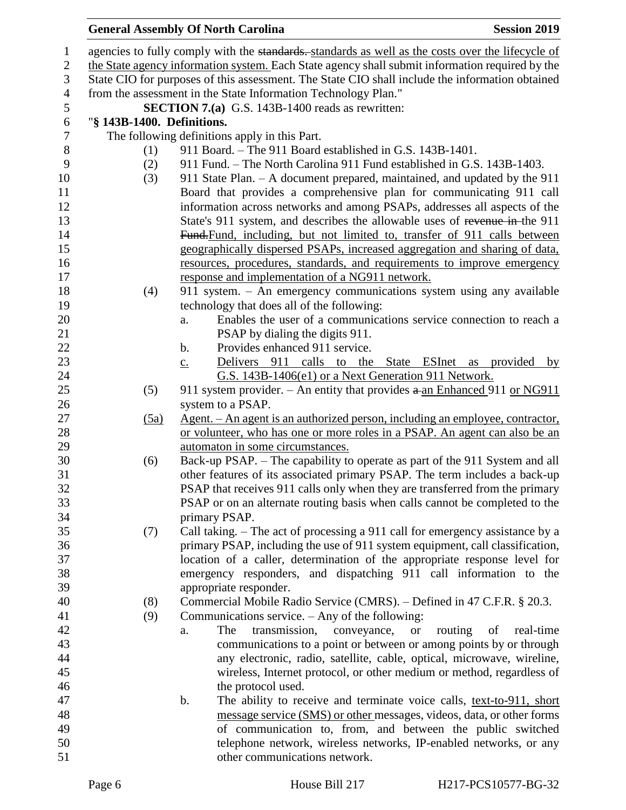# **General Assembly Of North Carolina Session 2019**

| $\mathbf{1}$   |                                                                                                 | agencies to fully comply with the standards. standards as well as the costs over the lifecycle of |  |  |  |
|----------------|-------------------------------------------------------------------------------------------------|---------------------------------------------------------------------------------------------------|--|--|--|
| $\mathbf{2}$   | the State agency information system. Each State agency shall submit information required by the |                                                                                                   |  |  |  |
| $\mathfrak{Z}$ | State CIO for purposes of this assessment. The State CIO shall include the information obtained |                                                                                                   |  |  |  |
| $\overline{4}$ |                                                                                                 | from the assessment in the State Information Technology Plan."                                    |  |  |  |
| $\sqrt{5}$     |                                                                                                 | <b>SECTION 7.(a)</b> G.S. 143B-1400 reads as rewritten:                                           |  |  |  |
| $\sqrt{6}$     | "§ 143B-1400. Definitions.                                                                      |                                                                                                   |  |  |  |
| $\tau$         |                                                                                                 | The following definitions apply in this Part.                                                     |  |  |  |
| 8              | (1)                                                                                             | 911 Board. - The 911 Board established in G.S. 143B-1401.                                         |  |  |  |
| 9              | (2)                                                                                             | 911 Fund. – The North Carolina 911 Fund established in G.S. 143B-1403.                            |  |  |  |
| 10             | (3)                                                                                             | 911 State Plan. - A document prepared, maintained, and updated by the 911                         |  |  |  |
| 11             |                                                                                                 | Board that provides a comprehensive plan for communicating 911 call                               |  |  |  |
| 12             |                                                                                                 | information across networks and among PSAPs, addresses all aspects of the                         |  |  |  |
| 13             |                                                                                                 | State's 911 system, and describes the allowable uses of revenue in-the 911                        |  |  |  |
| 14             |                                                                                                 | Fund-Fund, including, but not limited to, transfer of 911 calls between                           |  |  |  |
| 15             |                                                                                                 | geographically dispersed PSAPs, increased aggregation and sharing of data,                        |  |  |  |
| 16             |                                                                                                 | resources, procedures, standards, and requirements to improve emergency                           |  |  |  |
| 17             |                                                                                                 | response and implementation of a NG911 network.                                                   |  |  |  |
| 18             | (4)                                                                                             | 911 system. - An emergency communications system using any available                              |  |  |  |
| 19             |                                                                                                 | technology that does all of the following:                                                        |  |  |  |
| 20             |                                                                                                 | Enables the user of a communications service connection to reach a<br>a.                          |  |  |  |
| 21             |                                                                                                 | PSAP by dialing the digits 911.                                                                   |  |  |  |
| 22             |                                                                                                 | Provides enhanced 911 service.<br>$\mathbf b$ .                                                   |  |  |  |
| 23             |                                                                                                 | Delivers 911 calls to the State ESInet as provided by<br>$\underline{c}$ .                        |  |  |  |
| 24             |                                                                                                 | G.S. 143B-1406(e1) or a Next Generation 911 Network.                                              |  |  |  |
| 25<br>26       | (5)                                                                                             | 911 system provider. – An entity that provides $a$ -an Enhanced 911 or NG911<br>system to a PSAP. |  |  |  |
| 27             | (5a)                                                                                            | Agent. – An agent is an authorized person, including an employee, contractor,                     |  |  |  |
| 28             |                                                                                                 | or volunteer, who has one or more roles in a PSAP. An agent can also be an                        |  |  |  |
| 29             |                                                                                                 | automaton in some circumstances.                                                                  |  |  |  |
| 30             | (6)                                                                                             | Back-up PSAP. – The capability to operate as part of the 911 System and all                       |  |  |  |
| 31             |                                                                                                 | other features of its associated primary PSAP. The term includes a back-up                        |  |  |  |
| 32             |                                                                                                 | PSAP that receives 911 calls only when they are transferred from the primary                      |  |  |  |
| 33             |                                                                                                 | PSAP or on an alternate routing basis when calls cannot be completed to the                       |  |  |  |
| 34             |                                                                                                 | primary PSAP.                                                                                     |  |  |  |
| 35             | (7)                                                                                             | Call taking. – The act of processing a 911 call for emergency assistance by a                     |  |  |  |
| 36             |                                                                                                 | primary PSAP, including the use of 911 system equipment, call classification,                     |  |  |  |
| 37             |                                                                                                 | location of a caller, determination of the appropriate response level for                         |  |  |  |
| 38             |                                                                                                 | emergency responders, and dispatching 911 call information to the                                 |  |  |  |
| 39             |                                                                                                 | appropriate responder.                                                                            |  |  |  |
| 40             | (8)                                                                                             | Commercial Mobile Radio Service (CMRS). - Defined in 47 C.F.R. § 20.3.                            |  |  |  |
| 41             | (9)                                                                                             | Communications service. $-$ Any of the following:                                                 |  |  |  |
| 42             |                                                                                                 | transmission,<br>routing<br>The<br>conveyance,<br>of<br>real-time<br><b>or</b><br>a.              |  |  |  |
| 43             |                                                                                                 | communications to a point or between or among points by or through                                |  |  |  |
| 44             |                                                                                                 | any electronic, radio, satellite, cable, optical, microwave, wireline,                            |  |  |  |
| 45             |                                                                                                 | wireless, Internet protocol, or other medium or method, regardless of                             |  |  |  |
| 46             |                                                                                                 | the protocol used.                                                                                |  |  |  |
| 47             |                                                                                                 | b.<br>The ability to receive and terminate voice calls, text-to-911, short                        |  |  |  |
| 48             |                                                                                                 | message service (SMS) or other messages, videos, data, or other forms                             |  |  |  |
| 49             |                                                                                                 | of communication to, from, and between the public switched                                        |  |  |  |
| 50             |                                                                                                 | telephone network, wireless networks, IP-enabled networks, or any                                 |  |  |  |
| 51             |                                                                                                 | other communications network.                                                                     |  |  |  |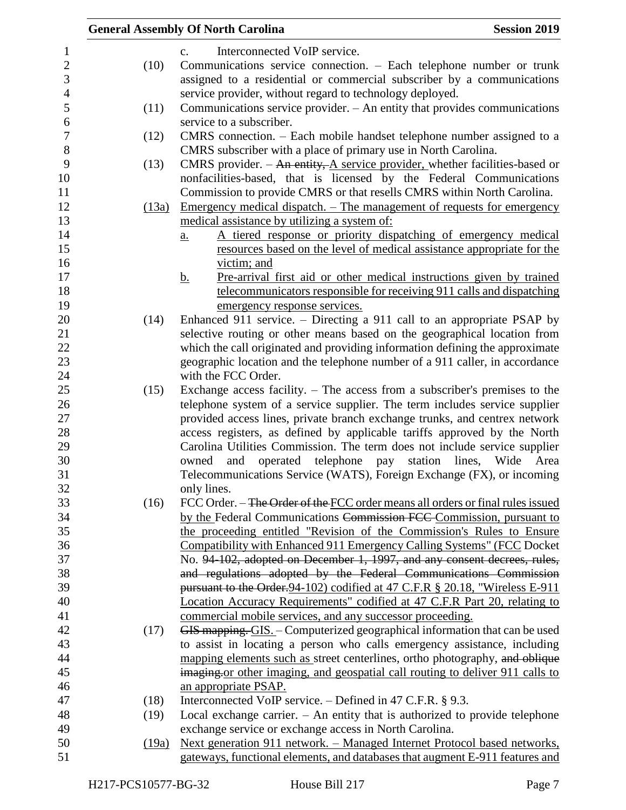|       | <b>Session 2019</b><br><b>General Assembly Of North Carolina</b>                  |
|-------|-----------------------------------------------------------------------------------|
|       | Interconnected VoIP service.<br>$C_{\bullet}$                                     |
| (10)  | Communications service connection. - Each telephone number or trunk               |
|       | assigned to a residential or commercial subscriber by a communications            |
|       | service provider, without regard to technology deployed.                          |
| (11)  | Communications service provider. $-$ An entity that provides communications       |
|       | service to a subscriber.                                                          |
| (12)  | CMRS connection. – Each mobile handset telephone number assigned to a             |
|       | CMRS subscriber with a place of primary use in North Carolina.                    |
| (13)  | CMRS provider. $-$ An entity, A service provider, whether facilities-based or     |
|       | nonfacilities-based, that is licensed by the Federal Communications               |
|       | Commission to provide CMRS or that resells CMRS within North Carolina.            |
| (13a) | <u>Emergency medical dispatch. – The management of requests for emergency</u>     |
|       | medical assistance by utilizing a system of:                                      |
|       | A tiered response or priority dispatching of emergency medical<br>a.              |
|       | resources based on the level of medical assistance appropriate for the            |
|       | victim; and                                                                       |
|       | Pre-arrival first aid or other medical instructions given by trained<br><u>b.</u> |
|       | telecommunicators responsible for receiving 911 calls and dispatching             |
|       | emergency response services.                                                      |
| (14)  | Enhanced 911 service. – Directing a 911 call to an appropriate PSAP by            |
|       | selective routing or other means based on the geographical location from          |
|       | which the call originated and providing information defining the approximate      |
|       | geographic location and the telephone number of a 911 caller, in accordance       |
|       | with the FCC Order.                                                               |
| (15)  | Exchange access facility. $-$ The access from a subscriber's premises to the      |
|       | telephone system of a service supplier. The term includes service supplier        |
|       | provided access lines, private branch exchange trunks, and centrex network        |
|       | access registers, as defined by applicable tariffs approved by the North          |
|       | Carolina Utilities Commission. The term does not include service supplier         |
|       | operated telephone pay<br>station<br>lines, Wide<br>owned<br>and<br>Area          |
|       | Telecommunications Service (WATS), Foreign Exchange (FX), or incoming             |
|       | only lines.                                                                       |
| (16)  | FCC Order. – The Order of the FCC order means all orders or final rules issued    |
|       | by the Federal Communications Commission FCC Commission, pursuant to              |
|       | the proceeding entitled "Revision of the Commission's Rules to Ensure             |
|       | Compatibility with Enhanced 911 Emergency Calling Systems" (FCC Docket            |
|       | No. 94-102, adopted on December 1, 1997, and any consent decrees, rules,          |
|       | and regulations adopted by the Federal Communications Commission                  |
|       | pursuant to the Order. 94-102) codified at 47 C.F.R § 20.18, "Wireless E-911      |
|       | Location Accuracy Requirements" codified at 47 C.F.R Part 20, relating to         |
|       | commercial mobile services, and any successor proceeding.                         |
| (17)  | GIS mapping. GIS. - Computerized geographical information that can be used        |
|       | to assist in locating a person who calls emergency assistance, including          |
|       | mapping elements such as street centerlines, ortho photography, and oblique       |
|       | imaging or other imaging, and geospatial call routing to deliver 911 calls to     |
|       | an appropriate PSAP.                                                              |
| (18)  | Interconnected VoIP service. $-$ Defined in 47 C.F.R. § 9.3.                      |
| (19)  | Local exchange carrier. $-$ An entity that is authorized to provide telephone     |
|       | exchange service or exchange access in North Carolina.                            |
| (19a) | <u>Next generation 911 network. – Managed Internet Protocol based networks,</u>   |
|       | gateways, functional elements, and databases that augment E-911 features and      |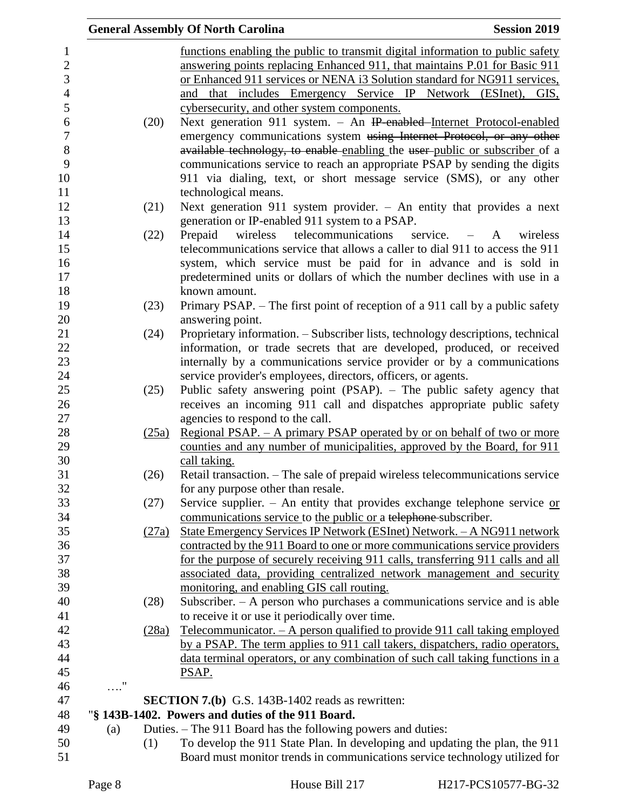|            |       | <b>General Assembly Of North Carolina</b><br><b>Session 2019</b>                                                                            |
|------------|-------|---------------------------------------------------------------------------------------------------------------------------------------------|
|            |       | functions enabling the public to transmit digital information to public safety                                                              |
|            |       | answering points replacing Enhanced 911, that maintains P.01 for Basic 911                                                                  |
|            |       | or Enhanced 911 services or NENA i3 Solution standard for NG911 services,                                                                   |
|            |       | and that includes Emergency Service IP Network (ESInet), GIS,                                                                               |
|            |       | cybersecurity, and other system components.                                                                                                 |
|            | (20)  | Next generation 911 system. - An IP-enabled-Internet Protocol-enabled                                                                       |
|            |       | emergency communications system using Internet Protocol, or any other                                                                       |
|            |       | available technology, to enable enabling the user-public or subscriber of a                                                                 |
|            |       | communications service to reach an appropriate PSAP by sending the digits                                                                   |
|            |       | 911 via dialing, text, or short message service (SMS), or any other                                                                         |
|            |       | technological means.                                                                                                                        |
|            | (21)  | Next generation 911 system provider. $-$ An entity that provides a next                                                                     |
|            |       | generation or IP-enabled 911 system to a PSAP.                                                                                              |
|            | (22)  | telecommunications<br>Prepaid<br>wireless<br>service. $-$<br>wireless<br>A                                                                  |
|            |       | telecommunications service that allows a caller to dial 911 to access the 911                                                               |
|            |       | system, which service must be paid for in advance and is sold in                                                                            |
|            |       | predetermined units or dollars of which the number declines with use in a                                                                   |
|            |       | known amount.                                                                                                                               |
|            | (23)  | Primary PSAP. – The first point of reception of a 911 call by a public safety                                                               |
|            |       | answering point.                                                                                                                            |
|            | (24)  | Proprietary information. - Subscriber lists, technology descriptions, technical                                                             |
|            |       | information, or trade secrets that are developed, produced, or received                                                                     |
|            |       | internally by a communications service provider or by a communications                                                                      |
|            |       | service provider's employees, directors, officers, or agents.                                                                               |
|            | (25)  | Public safety answering point (PSAP). - The public safety agency that                                                                       |
|            |       | receives an incoming 911 call and dispatches appropriate public safety                                                                      |
|            |       | agencies to respond to the call.                                                                                                            |
|            | (25a) | Regional PSAP. - A primary PSAP operated by or on behalf of two or more                                                                     |
|            |       | counties and any number of municipalities, approved by the Board, for 911                                                                   |
|            |       | call taking.                                                                                                                                |
|            | (26)  | Retail transaction. - The sale of prepaid wireless telecommunications service                                                               |
|            |       | for any purpose other than resale.                                                                                                          |
|            | (27)  | Service supplier. - An entity that provides exchange telephone service $or$                                                                 |
|            |       | communications service to the public or a telephone subscriber.                                                                             |
|            | (27a) | State Emergency Services IP Network (ESInet) Network. - A NG911 network                                                                     |
|            |       | contracted by the 911 Board to one or more communications service providers                                                                 |
|            |       | for the purpose of securely receiving 911 calls, transferring 911 calls and all                                                             |
|            |       | associated data, providing centralized network management and security                                                                      |
|            |       | monitoring, and enabling GIS call routing.                                                                                                  |
|            | (28)  | Subscriber. - A person who purchases a communications service and is able                                                                   |
|            |       | to receive it or use it periodically over time.                                                                                             |
|            | (28a) | Telecommunicator. $- A$ person qualified to provide 911 call taking employed                                                                |
|            |       | by a PSAP. The term applies to 911 call takers, dispatchers, radio operators,                                                               |
|            |       | data terminal operators, or any combination of such call taking functions in a                                                              |
|            |       | PSAP.                                                                                                                                       |
| $\ldots$ " |       |                                                                                                                                             |
|            |       | <b>SECTION 7.(b)</b> G.S. 143B-1402 reads as rewritten:<br>"§ 143B-1402. Powers and duties of the 911 Board.                                |
|            |       |                                                                                                                                             |
| (a)        |       | Duties. – The 911 Board has the following powers and duties:<br>To develop the 911 State Plan. In developing and updating the plan, the 911 |
|            | (1)   | Board must monitor trends in communications service technology utilized for                                                                 |
|            |       |                                                                                                                                             |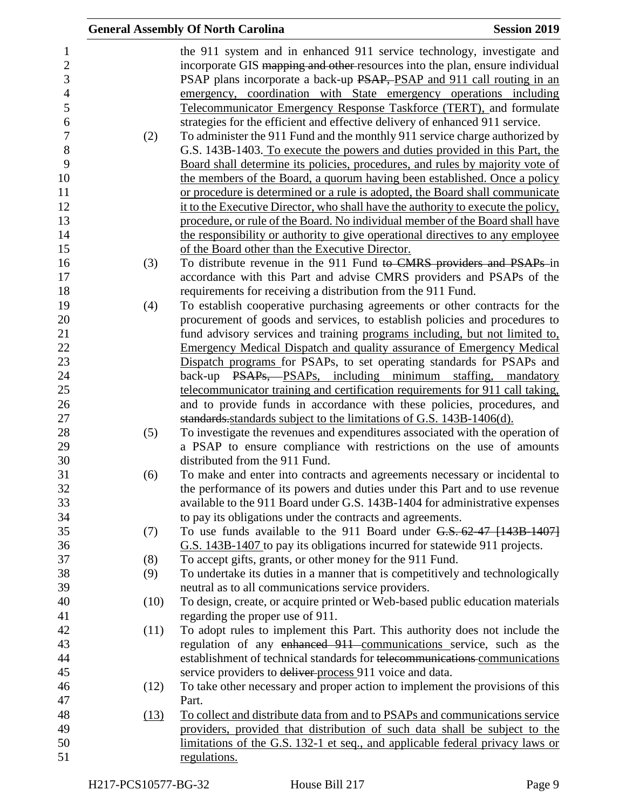|      | <b>General Assembly Of North Carolina</b>                                         | <b>Session 2019</b> |
|------|-----------------------------------------------------------------------------------|---------------------|
|      | the 911 system and in enhanced 911 service technology, investigate and            |                     |
|      | incorporate GIS mapping and other-resources into the plan, ensure individual      |                     |
|      | PSAP plans incorporate a back-up PSAP, PSAP and 911 call routing in an            |                     |
|      | emergency, coordination with State emergency operations including                 |                     |
|      | Telecommunicator Emergency Response Taskforce (TERT), and formulate               |                     |
|      | strategies for the efficient and effective delivery of enhanced 911 service.      |                     |
| (2)  | To administer the 911 Fund and the monthly 911 service charge authorized by       |                     |
|      | G.S. 143B-1403. To execute the powers and duties provided in this Part, the       |                     |
|      | Board shall determine its policies, procedures, and rules by majority vote of     |                     |
|      | the members of the Board, a quorum having been established. Once a policy         |                     |
|      | or procedure is determined or a rule is adopted, the Board shall communicate      |                     |
|      | it to the Executive Director, who shall have the authority to execute the policy, |                     |
|      | procedure, or rule of the Board. No individual member of the Board shall have     |                     |
|      | the responsibility or authority to give operational directives to any employee    |                     |
|      | of the Board other than the Executive Director.                                   |                     |
| (3)  | To distribute revenue in the 911 Fund to CMRS providers and PSAPs in              |                     |
|      | accordance with this Part and advise CMRS providers and PSAPs of the              |                     |
|      | requirements for receiving a distribution from the 911 Fund.                      |                     |
| (4)  | To establish cooperative purchasing agreements or other contracts for the         |                     |
|      | procurement of goods and services, to establish policies and procedures to        |                     |
|      | fund advisory services and training programs including, but not limited to,       |                     |
|      | <b>Emergency Medical Dispatch and quality assurance of Emergency Medical</b>      |                     |
|      | Dispatch programs for PSAPs, to set operating standards for PSAPs and             |                     |
|      | back-up PSAPs, PSAPs, including minimum staffing, mandatory                       |                     |
|      | telecommunicator training and certification requirements for 911 call taking,     |                     |
|      | and to provide funds in accordance with these policies, procedures, and           |                     |
|      | standards standards subject to the limitations of G.S. 143B-1406(d).              |                     |
| (5)  | To investigate the revenues and expenditures associated with the operation of     |                     |
|      | a PSAP to ensure compliance with restrictions on the use of amounts               |                     |
|      | distributed from the 911 Fund.                                                    |                     |
| (6)  | To make and enter into contracts and agreements necessary or incidental to        |                     |
|      | the performance of its powers and duties under this Part and to use revenue       |                     |
|      | available to the 911 Board under G.S. 143B-1404 for administrative expenses       |                     |
|      | to pay its obligations under the contracts and agreements.                        |                     |
| (7)  | To use funds available to the 911 Board under G.S. 62-47 [143B-1407]              |                     |
|      | G.S. 143B-1407 to pay its obligations incurred for statewide 911 projects.        |                     |
| (8)  | To accept gifts, grants, or other money for the 911 Fund.                         |                     |
| (9)  | To undertake its duties in a manner that is competitively and technologically     |                     |
|      | neutral as to all communications service providers.                               |                     |
| (10) | To design, create, or acquire printed or Web-based public education materials     |                     |
|      | regarding the proper use of 911.                                                  |                     |
| (11) | To adopt rules to implement this Part. This authority does not include the        |                     |
|      | regulation of any enhanced 911 communications service, such as the                |                     |
|      | establishment of technical standards for telecommunications communications        |                     |
|      | service providers to deliver process 911 voice and data.                          |                     |
| (12) | To take other necessary and proper action to implement the provisions of this     |                     |
|      | Part.                                                                             |                     |
| (13) | To collect and distribute data from and to PSAPs and communications service       |                     |
|      | providers, provided that distribution of such data shall be subject to the        |                     |
|      | limitations of the G.S. 132-1 et seq., and applicable federal privacy laws or     |                     |
|      | regulations.                                                                      |                     |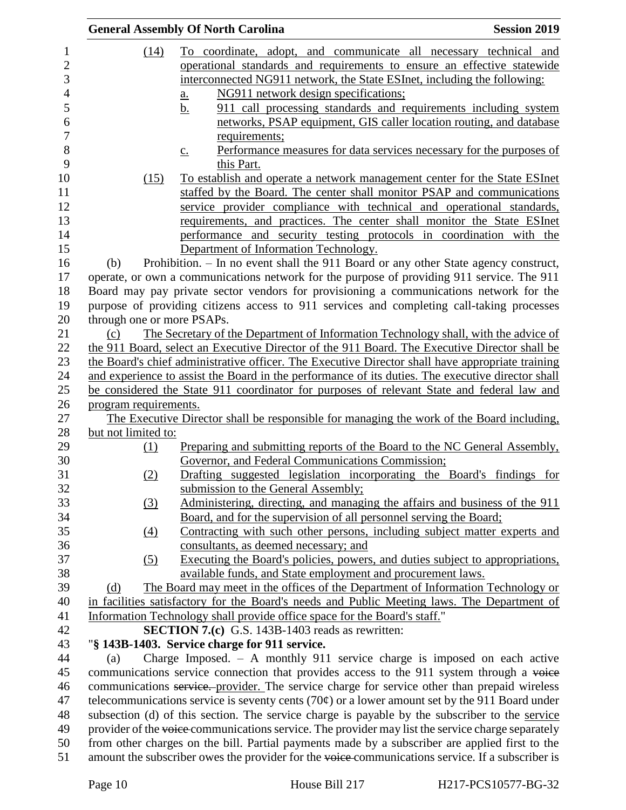|                            | <b>General Assembly Of North Carolina</b><br><b>Session 2019</b>                                         |  |
|----------------------------|----------------------------------------------------------------------------------------------------------|--|
| (14)                       | To coordinate, adopt, and communicate all necessary technical and                                        |  |
|                            | operational standards and requirements to ensure an effective statewide                                  |  |
|                            | interconnected NG911 network, the State ESInet, including the following:                                 |  |
|                            | NG911 network design specifications;<br>$\underline{a}$ .                                                |  |
|                            | 911 call processing standards and requirements including system<br><u>b.</u>                             |  |
|                            | networks, PSAP equipment, GIS caller location routing, and database                                      |  |
|                            | requirements;                                                                                            |  |
|                            | Performance measures for data services necessary for the purposes of<br>$\underline{c}$ .                |  |
|                            | this Part.                                                                                               |  |
| (15)                       | To establish and operate a network management center for the State ESInet                                |  |
|                            | staffed by the Board. The center shall monitor PSAP and communications                                   |  |
|                            | service provider compliance with technical and operational standards,                                    |  |
|                            | requirements, and practices. The center shall monitor the State ESInet                                   |  |
|                            | performance and security testing protocols in coordination with the                                      |  |
|                            | Department of Information Technology.                                                                    |  |
| (b)                        | Prohibition. - In no event shall the 911 Board or any other State agency construct,                      |  |
|                            | operate, or own a communications network for the purpose of providing 911 service. The 911               |  |
|                            | Board may pay private sector vendors for provisioning a communications network for the                   |  |
|                            | purpose of providing citizens access to 911 services and completing call-taking processes                |  |
| through one or more PSAPs. |                                                                                                          |  |
| (c)                        | The Secretary of the Department of Information Technology shall, with the advice of                      |  |
|                            | the 911 Board, select an Executive Director of the 911 Board. The Executive Director shall be            |  |
|                            | the Board's chief administrative officer. The Executive Director shall have appropriate training         |  |
|                            | and experience to assist the Board in the performance of its duties. The executive director shall        |  |
|                            | be considered the State 911 coordinator for purposes of relevant State and federal law and               |  |
| program requirements.      |                                                                                                          |  |
| but not limited to:        | The Executive Director shall be responsible for managing the work of the Board including,                |  |
| (1)                        | Preparing and submitting reports of the Board to the NC General Assembly,                                |  |
|                            | Governor, and Federal Communications Commission;                                                         |  |
| (2)                        | Drafting suggested legislation incorporating the Board's findings for                                    |  |
|                            | submission to the General Assembly;                                                                      |  |
| $\left(3\right)$           | Administering, directing, and managing the affairs and business of the 911                               |  |
|                            | Board, and for the supervision of all personnel serving the Board;                                       |  |
| $\left(4\right)$           | Contracting with such other persons, including subject matter experts and                                |  |
|                            | consultants, as deemed necessary; and                                                                    |  |
| (5)                        | Executing the Board's policies, powers, and duties subject to appropriations,                            |  |
|                            | available funds, and State employment and procurement laws.                                              |  |
| (d)                        | The Board may meet in the offices of the Department of Information Technology or                         |  |
|                            | in facilities satisfactory for the Board's needs and Public Meeting laws. The Department of              |  |
|                            | Information Technology shall provide office space for the Board's staff."                                |  |
|                            | <b>SECTION 7.(c)</b> G.S. 143B-1403 reads as rewritten:                                                  |  |
|                            | "§ 143B-1403. Service charge for 911 service.                                                            |  |
| (a)                        | Charge Imposed. $-$ A monthly 911 service charge is imposed on each active                               |  |
|                            | communications service connection that provides access to the 911 system through a voice                 |  |
|                            | communications service. provider. The service charge for service other than prepaid wireless             |  |
|                            | telecommunications service is seventy cents (70 $\varphi$ ) or a lower amount set by the 911 Board under |  |
|                            | subsection (d) of this section. The service charge is payable by the subscriber to the service           |  |
|                            | provider of the voice communications service. The provider may list the service charge separately        |  |
|                            | from other charges on the bill. Partial payments made by a subscriber are applied first to the           |  |
|                            | amount the subscriber owes the provider for the voice-communications service. If a subscriber is         |  |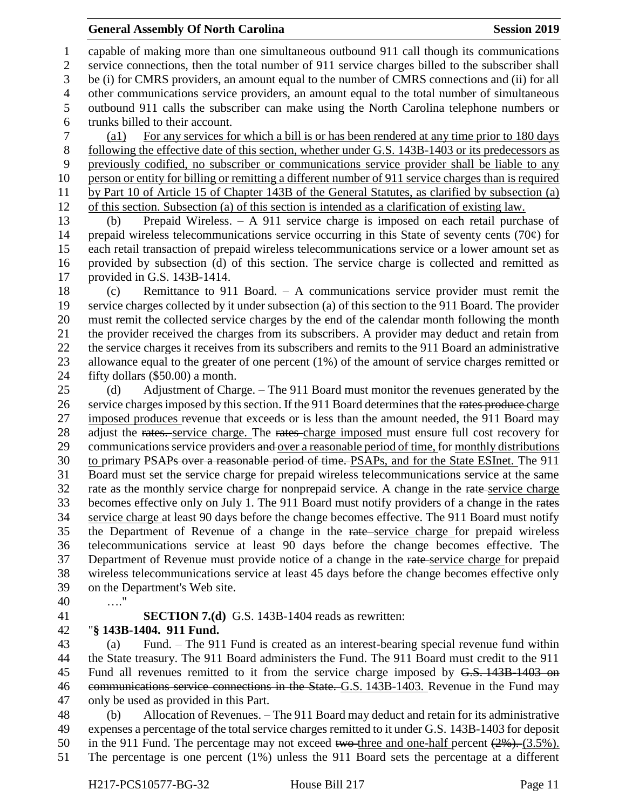#### **General Assembly Of North Carolina Session 2019 Session 2019**

 capable of making more than one simultaneous outbound 911 call though its communications service connections, then the total number of 911 service charges billed to the subscriber shall be (i) for CMRS providers, an amount equal to the number of CMRS connections and (ii) for all other communications service providers, an amount equal to the total number of simultaneous outbound 911 calls the subscriber can make using the North Carolina telephone numbers or trunks billed to their account.

 (a1) For any services for which a bill is or has been rendered at any time prior to 180 days following the effective date of this section, whether under G.S. 143B-1403 or its predecessors as previously codified, no subscriber or communications service provider shall be liable to any person or entity for billing or remitting a different number of 911 service charges than is required by Part 10 of Article 15 of Chapter 143B of the General Statutes, as clarified by subsection (a) of this section. Subsection (a) of this section is intended as a clarification of existing law.

 (b) Prepaid Wireless. – A 911 service charge is imposed on each retail purchase of 14 prepaid wireless telecommunications service occurring in this State of seventy cents (70 $\varphi$ ) for each retail transaction of prepaid wireless telecommunications service or a lower amount set as provided by subsection (d) of this section. The service charge is collected and remitted as provided in G.S. 143B-1414.

 (c) Remittance to 911 Board. – A communications service provider must remit the service charges collected by it under subsection (a) of this section to the 911 Board. The provider must remit the collected service charges by the end of the calendar month following the month the provider received the charges from its subscribers. A provider may deduct and retain from the service charges it receives from its subscribers and remits to the 911 Board an administrative 23 allowance equal to the greater of one percent (1%) of the amount of service charges remitted or fifty dollars (\$50.00) a month.

 (d) Adjustment of Charge. – The 911 Board must monitor the revenues generated by the 26 service charges imposed by this section. If the 911 Board determines that the rates produce charge imposed produces revenue that exceeds or is less than the amount needed, the 911 Board may 28 adjust the rates. service charge. The rates charge imposed must ensure full cost recovery for 29 communications service providers and over a reasonable period of time, for monthly distributions to primary PSAPs over a reasonable period of time. PSAPs, and for the State ESInet. The 911 Board must set the service charge for prepaid wireless telecommunications service at the same 32 rate as the monthly service charge for nonprepaid service. A change in the rate service charge becomes effective only on July 1. The 911 Board must notify providers of a change in the rates service charge at least 90 days before the change becomes effective. The 911 Board must notify the Department of Revenue of a change in the rate service charge for prepaid wireless telecommunications service at least 90 days before the change becomes effective. The 37 Department of Revenue must provide notice of a change in the rate-service charge for prepaid wireless telecommunications service at least 45 days before the change becomes effective only on the Department's Web site.

- …."
- 

**SECTION 7.(d)** G.S. 143B-1404 reads as rewritten:

"**§ 143B-1404. 911 Fund.**

 (a) Fund. – The 911 Fund is created as an interest-bearing special revenue fund within the State treasury. The 911 Board administers the Fund. The 911 Board must credit to the 911 45 Fund all revenues remitted to it from the service charge imposed by <del>G.S. 143B-1403 on</del> 46 communications service connections in the State. G.S. 143B-1403. Revenue in the Fund may only be used as provided in this Part.

 (b) Allocation of Revenues. – The 911 Board may deduct and retain for its administrative expenses a percentage of the total service charges remitted to it under G.S. 143B-1403 for deposit 50 in the 911 Fund. The percentage may not exceed two-three and one-half percent  $(2\%)$ . (3.5%). The percentage is one percent (1%) unless the 911 Board sets the percentage at a different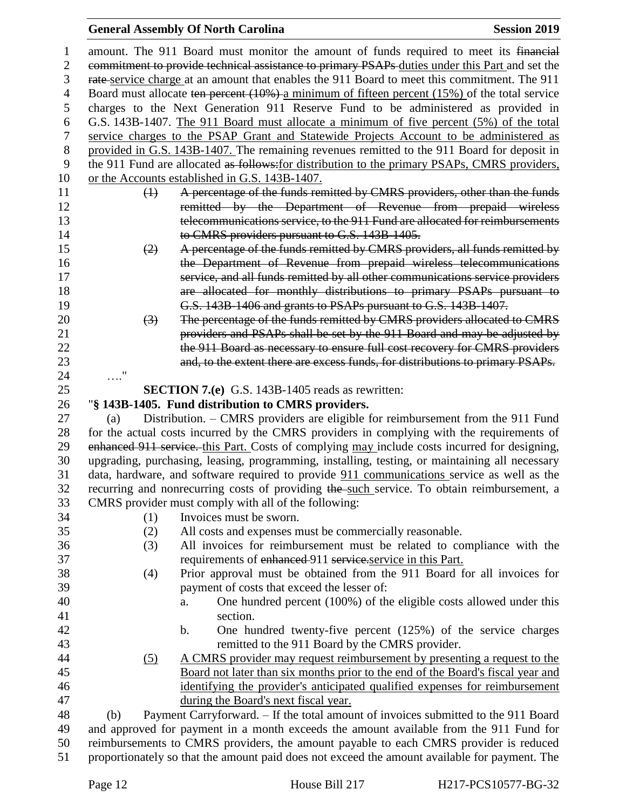## **General Assembly Of North Carolina Session 2019**

| 1              | amount. The 911 Board must monitor the amount of funds required to meet its financial                                                                                                  |
|----------------|----------------------------------------------------------------------------------------------------------------------------------------------------------------------------------------|
| $\overline{2}$ | commitment to provide technical assistance to primary PSAPs duties under this Part and set the                                                                                         |
| 3              | rate-service charge at an amount that enables the 911 Board to meet this commitment. The 911                                                                                           |
| 4              | Board must allocate ten percent $(10\%)$ a minimum of fifteen percent $(15\%)$ of the total service                                                                                    |
| 5              | charges to the Next Generation 911 Reserve Fund to be administered as provided in                                                                                                      |
| 6              | G.S. 143B-1407. The 911 Board must allocate a minimum of five percent (5%) of the total                                                                                                |
| 7              | service charges to the PSAP Grant and Statewide Projects Account to be administered as                                                                                                 |
| 8              | provided in G.S. 143B-1407. The remaining revenues remitted to the 911 Board for deposit in                                                                                            |
| 9              | the 911 Fund are allocated as follows: for distribution to the primary PSAPs, CMRS providers,                                                                                          |
| 10             | or the Accounts established in G.S. 143B-1407.                                                                                                                                         |
| 11             | A percentage of the funds remitted by CMRS providers, other than the funds<br>$\bigoplus$                                                                                              |
| 12             | remitted by the Department of Revenue from prepaid wireless                                                                                                                            |
| 13             | telecommunications service, to the 911 Fund are allocated for reimbursements                                                                                                           |
| 14             | to CMRS providers pursuant to G.S. 143B-1405.                                                                                                                                          |
| 15             | A percentage of the funds remitted by CMRS providers, all funds remitted by<br>$\left( 2\right)$                                                                                       |
| 16             | the Department of Revenue from prepaid wireless telecommunications                                                                                                                     |
| 17             | service, and all funds remitted by all other communications service providers                                                                                                          |
| 18             | are allocated for monthly distributions to primary PSAPs pursuant to                                                                                                                   |
| 19             | G.S. 143B-1406 and grants to PSAPs pursuant to G.S. 143B-1407.                                                                                                                         |
| 20             | The percentage of the funds remitted by CMRS providers allocated to CMRS<br>$\left(3\right)$                                                                                           |
| 21             | providers and PSAPs shall be set by the 911 Board and may be adjusted by                                                                                                               |
| 22             | the 911 Board as necessary to ensure full cost recovery for CMRS providers                                                                                                             |
| 23             | and, to the extent there are excess funds, for distributions to primary PSAPs.                                                                                                         |
| 24             |                                                                                                                                                                                        |
| 25             | <b>SECTION 7.(e)</b> G.S. 143B-1405 reads as rewritten:                                                                                                                                |
| 26             | "§ 143B-1405. Fund distribution to CMRS providers.                                                                                                                                     |
|                |                                                                                                                                                                                        |
| 27             | Distribution. – CMRS providers are eligible for reimbursement from the 911 Fund<br>(a)                                                                                                 |
| 28             | for the actual costs incurred by the CMRS providers in complying with the requirements of                                                                                              |
| 29             | enhanced 911 service. this Part. Costs of complying may include costs incurred for designing,                                                                                          |
| 30             | upgrading, purchasing, leasing, programming, installing, testing, or maintaining all necessary                                                                                         |
| 31             | data, hardware, and software required to provide 911 communications service as well as the                                                                                             |
| 32             | recurring and nonrecurring costs of providing the such service. To obtain reimbursement, a                                                                                             |
| 33             | CMRS provider must comply with all of the following:                                                                                                                                   |
| 34             | Invoices must be sworn.<br>(1)                                                                                                                                                         |
| 35             | All costs and expenses must be commercially reasonable.<br>(2)                                                                                                                         |
| 36             | (3)<br>All invoices for reimbursement must be related to compliance with the                                                                                                           |
| 37             | requirements of enhanced 911 service service in this Part.                                                                                                                             |
| 38             | (4)<br>Prior approval must be obtained from the 911 Board for all invoices for                                                                                                         |
| 39             | payment of costs that exceed the lesser of:                                                                                                                                            |
| 40             | One hundred percent (100%) of the eligible costs allowed under this<br>a.                                                                                                              |
| 41             | section.                                                                                                                                                                               |
| 42             | $\mathbf b$ .<br>One hundred twenty-five percent (125%) of the service charges                                                                                                         |
| 43             | remitted to the 911 Board by the CMRS provider.                                                                                                                                        |
| 44             | A CMRS provider may request reimbursement by presenting a request to the<br><u>(5)</u>                                                                                                 |
| 45             | Board not later than six months prior to the end of the Board's fiscal year and                                                                                                        |
| 46             | identifying the provider's anticipated qualified expenses for reimbursement                                                                                                            |
| 47             | during the Board's next fiscal year.                                                                                                                                                   |
| 48             | Payment Carryforward. - If the total amount of invoices submitted to the 911 Board<br>(b)                                                                                              |
| 49             | and approved for payment in a month exceeds the amount available from the 911 Fund for                                                                                                 |
| 50<br>51       | reimbursements to CMRS providers, the amount payable to each CMRS provider is reduced<br>proportionately so that the amount paid does not exceed the amount available for payment. The |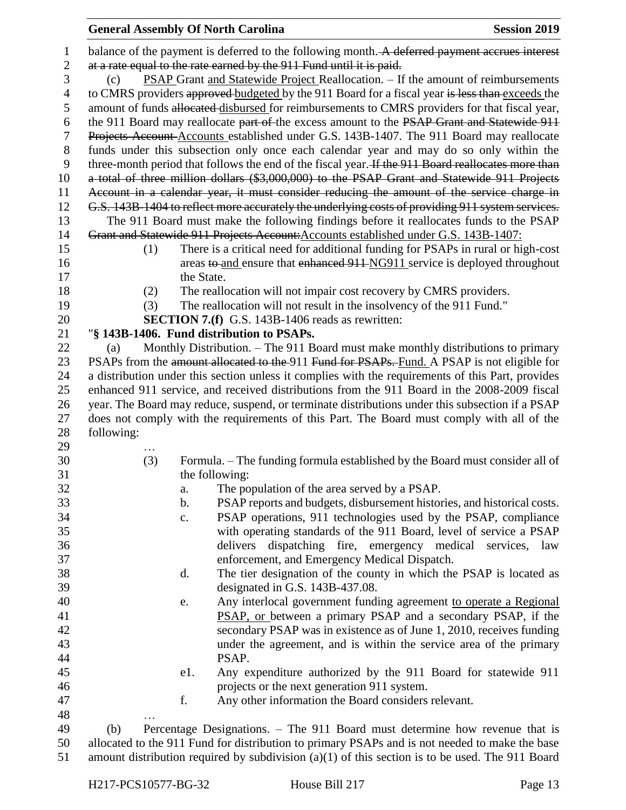| at a rate equal to the rate earned by the 911 Fund until it is paid.<br>3<br>PSAP Grant and Statewide Project Reallocation. - If the amount of reimbursements<br>(c)<br>$\overline{4}$<br>to CMRS providers approved budgeted by the 911 Board for a fiscal year is less than exceeds the<br>amount of funds allocated disbursed for reimbursements to CMRS providers for that fiscal year,<br>5<br>6<br>the 911 Board may reallocate part of the excess amount to the PSAP Grant and Statewide 911<br>7<br>Projects Account-Accounts established under G.S. 143B-1407. The 911 Board may reallocate<br>$8\,$<br>funds under this subsection only once each calendar year and may do so only within the<br>9<br>three-month period that follows the end of the fiscal year. If the 911 Board reallocates more than<br>a total of three million dollars (\$3,000,000) to the PSAP Grant and Statewide 911 Projects<br>10<br>Account in a calendar year, it must consider reducing the amount of the service charge in<br>11<br>12<br>G.S. 143B-1404 to reflect more accurately the underlying costs of providing 911 system services.<br>13<br>The 911 Board must make the following findings before it reallocates funds to the PSAP<br>14<br>Grant and Statewide 911 Projects Account: Accounts established under G.S. 143B-1407:<br>15<br>There is a critical need for additional funding for PSAPs in rural or high-cost<br>(1)<br>areas to and ensure that enhanced 911-NG911 service is deployed throughout<br>16<br>17<br>the State.<br>18<br>The reallocation will not impair cost recovery by CMRS providers.<br>(2)<br>19<br>(3)<br>The reallocation will not result in the insolvency of the 911 Fund."<br>20<br><b>SECTION 7.(f)</b> G.S. 143B-1406 reads as rewritten:<br>"§ 143B-1406. Fund distribution to PSAPs.<br>21<br>22<br>Monthly Distribution. – The 911 Board must make monthly distributions to primary<br>(a)<br>23<br>PSAPs from the amount allocated to the 911 Fund for PSAPs. Fund. A PSAP is not eligible for<br>a distribution under this section unless it complies with the requirements of this Part, provides<br>24<br>25<br>enhanced 911 service, and received distributions from the 911 Board in the 2008-2009 fiscal<br>year. The Board may reduce, suspend, or terminate distributions under this subsection if a PSAP<br>26<br>does not comply with the requirements of this Part. The Board must comply with all of the<br>27<br>28<br>following:<br>29<br>30<br>Formula. - The funding formula established by the Board must consider all of<br>(3)<br>31<br>the following:<br>32<br>The population of the area served by a PSAP.<br>a.<br>33<br>PSAP reports and budgets, disbursement histories, and historical costs.<br>b.<br>34<br>PSAP operations, 911 technologies used by the PSAP, compliance<br>c.<br>35<br>with operating standards of the 911 Board, level of service a PSAP<br>36<br>delivers dispatching fire, emergency medical services, law<br>37<br>enforcement, and Emergency Medical Dispatch.<br>38<br>The tier designation of the county in which the PSAP is located as<br>d.<br>39<br>designated in G.S. 143B-437.08.<br>40<br>Any interlocal government funding agreement to operate a Regional<br>e.<br>PSAP, or between a primary PSAP and a secondary PSAP, if the<br>41<br>42<br>secondary PSAP was in existence as of June 1, 2010, receives funding<br>43<br>under the agreement, and is within the service area of the primary<br>44<br>PSAP.<br>45<br>Any expenditure authorized by the 911 Board for statewide 911<br>e1.<br>46<br>projects or the next generation 911 system.<br>f.<br>Any other information the Board considers relevant.<br>47<br>48<br>49<br>Percentage Designations. - The 911 Board must determine how revenue that is<br>(b)<br>allocated to the 911 Fund for distribution to primary PSAPs and is not needed to make the base<br>50 | $\mathbf{1}$ |  |  | balance of the payment is deferred to the following month. A deferred payment accrues interest |  |  |
|------------------------------------------------------------------------------------------------------------------------------------------------------------------------------------------------------------------------------------------------------------------------------------------------------------------------------------------------------------------------------------------------------------------------------------------------------------------------------------------------------------------------------------------------------------------------------------------------------------------------------------------------------------------------------------------------------------------------------------------------------------------------------------------------------------------------------------------------------------------------------------------------------------------------------------------------------------------------------------------------------------------------------------------------------------------------------------------------------------------------------------------------------------------------------------------------------------------------------------------------------------------------------------------------------------------------------------------------------------------------------------------------------------------------------------------------------------------------------------------------------------------------------------------------------------------------------------------------------------------------------------------------------------------------------------------------------------------------------------------------------------------------------------------------------------------------------------------------------------------------------------------------------------------------------------------------------------------------------------------------------------------------------------------------------------------------------------------------------------------------------------------------------------------------------------------------------------------------------------------------------------------------------------------------------------------------------------------------------------------------------------------------------------------------------------------------------------------------------------------------------------------------------------------------------------------------------------------------------------------------------------------------------------------------------------------------------------------------------------------------------------------------------------------------------------------------------------------------------------------------------------------------------------------------------------------------------------------------------------------------------------------------------------------------------------------------------------------------------------------------------------------------------------------------------------------------------------------------------------------------------------------------------------------------------------------------------------------------------------------------------------------------------------------------------------------------------------------------------------------------------------------------------------------------------------------------------------------------------------------------------------------------------------------------------------------------------------------------------------------------------------------------------------------------------------------------------------------------------------------------------------------------------------------------------------------|--------------|--|--|------------------------------------------------------------------------------------------------|--|--|
|                                                                                                                                                                                                                                                                                                                                                                                                                                                                                                                                                                                                                                                                                                                                                                                                                                                                                                                                                                                                                                                                                                                                                                                                                                                                                                                                                                                                                                                                                                                                                                                                                                                                                                                                                                                                                                                                                                                                                                                                                                                                                                                                                                                                                                                                                                                                                                                                                                                                                                                                                                                                                                                                                                                                                                                                                                                                                                                                                                                                                                                                                                                                                                                                                                                                                                                                                                                                                                                                                                                                                                                                                                                                                                                                                                                                                                                                                                                                          | $\mathbf{2}$ |  |  |                                                                                                |  |  |
|                                                                                                                                                                                                                                                                                                                                                                                                                                                                                                                                                                                                                                                                                                                                                                                                                                                                                                                                                                                                                                                                                                                                                                                                                                                                                                                                                                                                                                                                                                                                                                                                                                                                                                                                                                                                                                                                                                                                                                                                                                                                                                                                                                                                                                                                                                                                                                                                                                                                                                                                                                                                                                                                                                                                                                                                                                                                                                                                                                                                                                                                                                                                                                                                                                                                                                                                                                                                                                                                                                                                                                                                                                                                                                                                                                                                                                                                                                                                          |              |  |  |                                                                                                |  |  |
|                                                                                                                                                                                                                                                                                                                                                                                                                                                                                                                                                                                                                                                                                                                                                                                                                                                                                                                                                                                                                                                                                                                                                                                                                                                                                                                                                                                                                                                                                                                                                                                                                                                                                                                                                                                                                                                                                                                                                                                                                                                                                                                                                                                                                                                                                                                                                                                                                                                                                                                                                                                                                                                                                                                                                                                                                                                                                                                                                                                                                                                                                                                                                                                                                                                                                                                                                                                                                                                                                                                                                                                                                                                                                                                                                                                                                                                                                                                                          |              |  |  |                                                                                                |  |  |
|                                                                                                                                                                                                                                                                                                                                                                                                                                                                                                                                                                                                                                                                                                                                                                                                                                                                                                                                                                                                                                                                                                                                                                                                                                                                                                                                                                                                                                                                                                                                                                                                                                                                                                                                                                                                                                                                                                                                                                                                                                                                                                                                                                                                                                                                                                                                                                                                                                                                                                                                                                                                                                                                                                                                                                                                                                                                                                                                                                                                                                                                                                                                                                                                                                                                                                                                                                                                                                                                                                                                                                                                                                                                                                                                                                                                                                                                                                                                          |              |  |  |                                                                                                |  |  |
|                                                                                                                                                                                                                                                                                                                                                                                                                                                                                                                                                                                                                                                                                                                                                                                                                                                                                                                                                                                                                                                                                                                                                                                                                                                                                                                                                                                                                                                                                                                                                                                                                                                                                                                                                                                                                                                                                                                                                                                                                                                                                                                                                                                                                                                                                                                                                                                                                                                                                                                                                                                                                                                                                                                                                                                                                                                                                                                                                                                                                                                                                                                                                                                                                                                                                                                                                                                                                                                                                                                                                                                                                                                                                                                                                                                                                                                                                                                                          |              |  |  |                                                                                                |  |  |
|                                                                                                                                                                                                                                                                                                                                                                                                                                                                                                                                                                                                                                                                                                                                                                                                                                                                                                                                                                                                                                                                                                                                                                                                                                                                                                                                                                                                                                                                                                                                                                                                                                                                                                                                                                                                                                                                                                                                                                                                                                                                                                                                                                                                                                                                                                                                                                                                                                                                                                                                                                                                                                                                                                                                                                                                                                                                                                                                                                                                                                                                                                                                                                                                                                                                                                                                                                                                                                                                                                                                                                                                                                                                                                                                                                                                                                                                                                                                          |              |  |  |                                                                                                |  |  |
|                                                                                                                                                                                                                                                                                                                                                                                                                                                                                                                                                                                                                                                                                                                                                                                                                                                                                                                                                                                                                                                                                                                                                                                                                                                                                                                                                                                                                                                                                                                                                                                                                                                                                                                                                                                                                                                                                                                                                                                                                                                                                                                                                                                                                                                                                                                                                                                                                                                                                                                                                                                                                                                                                                                                                                                                                                                                                                                                                                                                                                                                                                                                                                                                                                                                                                                                                                                                                                                                                                                                                                                                                                                                                                                                                                                                                                                                                                                                          |              |  |  |                                                                                                |  |  |
|                                                                                                                                                                                                                                                                                                                                                                                                                                                                                                                                                                                                                                                                                                                                                                                                                                                                                                                                                                                                                                                                                                                                                                                                                                                                                                                                                                                                                                                                                                                                                                                                                                                                                                                                                                                                                                                                                                                                                                                                                                                                                                                                                                                                                                                                                                                                                                                                                                                                                                                                                                                                                                                                                                                                                                                                                                                                                                                                                                                                                                                                                                                                                                                                                                                                                                                                                                                                                                                                                                                                                                                                                                                                                                                                                                                                                                                                                                                                          |              |  |  |                                                                                                |  |  |
|                                                                                                                                                                                                                                                                                                                                                                                                                                                                                                                                                                                                                                                                                                                                                                                                                                                                                                                                                                                                                                                                                                                                                                                                                                                                                                                                                                                                                                                                                                                                                                                                                                                                                                                                                                                                                                                                                                                                                                                                                                                                                                                                                                                                                                                                                                                                                                                                                                                                                                                                                                                                                                                                                                                                                                                                                                                                                                                                                                                                                                                                                                                                                                                                                                                                                                                                                                                                                                                                                                                                                                                                                                                                                                                                                                                                                                                                                                                                          |              |  |  |                                                                                                |  |  |
|                                                                                                                                                                                                                                                                                                                                                                                                                                                                                                                                                                                                                                                                                                                                                                                                                                                                                                                                                                                                                                                                                                                                                                                                                                                                                                                                                                                                                                                                                                                                                                                                                                                                                                                                                                                                                                                                                                                                                                                                                                                                                                                                                                                                                                                                                                                                                                                                                                                                                                                                                                                                                                                                                                                                                                                                                                                                                                                                                                                                                                                                                                                                                                                                                                                                                                                                                                                                                                                                                                                                                                                                                                                                                                                                                                                                                                                                                                                                          |              |  |  |                                                                                                |  |  |
|                                                                                                                                                                                                                                                                                                                                                                                                                                                                                                                                                                                                                                                                                                                                                                                                                                                                                                                                                                                                                                                                                                                                                                                                                                                                                                                                                                                                                                                                                                                                                                                                                                                                                                                                                                                                                                                                                                                                                                                                                                                                                                                                                                                                                                                                                                                                                                                                                                                                                                                                                                                                                                                                                                                                                                                                                                                                                                                                                                                                                                                                                                                                                                                                                                                                                                                                                                                                                                                                                                                                                                                                                                                                                                                                                                                                                                                                                                                                          |              |  |  |                                                                                                |  |  |
|                                                                                                                                                                                                                                                                                                                                                                                                                                                                                                                                                                                                                                                                                                                                                                                                                                                                                                                                                                                                                                                                                                                                                                                                                                                                                                                                                                                                                                                                                                                                                                                                                                                                                                                                                                                                                                                                                                                                                                                                                                                                                                                                                                                                                                                                                                                                                                                                                                                                                                                                                                                                                                                                                                                                                                                                                                                                                                                                                                                                                                                                                                                                                                                                                                                                                                                                                                                                                                                                                                                                                                                                                                                                                                                                                                                                                                                                                                                                          |              |  |  |                                                                                                |  |  |
|                                                                                                                                                                                                                                                                                                                                                                                                                                                                                                                                                                                                                                                                                                                                                                                                                                                                                                                                                                                                                                                                                                                                                                                                                                                                                                                                                                                                                                                                                                                                                                                                                                                                                                                                                                                                                                                                                                                                                                                                                                                                                                                                                                                                                                                                                                                                                                                                                                                                                                                                                                                                                                                                                                                                                                                                                                                                                                                                                                                                                                                                                                                                                                                                                                                                                                                                                                                                                                                                                                                                                                                                                                                                                                                                                                                                                                                                                                                                          |              |  |  |                                                                                                |  |  |
|                                                                                                                                                                                                                                                                                                                                                                                                                                                                                                                                                                                                                                                                                                                                                                                                                                                                                                                                                                                                                                                                                                                                                                                                                                                                                                                                                                                                                                                                                                                                                                                                                                                                                                                                                                                                                                                                                                                                                                                                                                                                                                                                                                                                                                                                                                                                                                                                                                                                                                                                                                                                                                                                                                                                                                                                                                                                                                                                                                                                                                                                                                                                                                                                                                                                                                                                                                                                                                                                                                                                                                                                                                                                                                                                                                                                                                                                                                                                          |              |  |  |                                                                                                |  |  |
|                                                                                                                                                                                                                                                                                                                                                                                                                                                                                                                                                                                                                                                                                                                                                                                                                                                                                                                                                                                                                                                                                                                                                                                                                                                                                                                                                                                                                                                                                                                                                                                                                                                                                                                                                                                                                                                                                                                                                                                                                                                                                                                                                                                                                                                                                                                                                                                                                                                                                                                                                                                                                                                                                                                                                                                                                                                                                                                                                                                                                                                                                                                                                                                                                                                                                                                                                                                                                                                                                                                                                                                                                                                                                                                                                                                                                                                                                                                                          |              |  |  |                                                                                                |  |  |
|                                                                                                                                                                                                                                                                                                                                                                                                                                                                                                                                                                                                                                                                                                                                                                                                                                                                                                                                                                                                                                                                                                                                                                                                                                                                                                                                                                                                                                                                                                                                                                                                                                                                                                                                                                                                                                                                                                                                                                                                                                                                                                                                                                                                                                                                                                                                                                                                                                                                                                                                                                                                                                                                                                                                                                                                                                                                                                                                                                                                                                                                                                                                                                                                                                                                                                                                                                                                                                                                                                                                                                                                                                                                                                                                                                                                                                                                                                                                          |              |  |  |                                                                                                |  |  |
|                                                                                                                                                                                                                                                                                                                                                                                                                                                                                                                                                                                                                                                                                                                                                                                                                                                                                                                                                                                                                                                                                                                                                                                                                                                                                                                                                                                                                                                                                                                                                                                                                                                                                                                                                                                                                                                                                                                                                                                                                                                                                                                                                                                                                                                                                                                                                                                                                                                                                                                                                                                                                                                                                                                                                                                                                                                                                                                                                                                                                                                                                                                                                                                                                                                                                                                                                                                                                                                                                                                                                                                                                                                                                                                                                                                                                                                                                                                                          |              |  |  |                                                                                                |  |  |
|                                                                                                                                                                                                                                                                                                                                                                                                                                                                                                                                                                                                                                                                                                                                                                                                                                                                                                                                                                                                                                                                                                                                                                                                                                                                                                                                                                                                                                                                                                                                                                                                                                                                                                                                                                                                                                                                                                                                                                                                                                                                                                                                                                                                                                                                                                                                                                                                                                                                                                                                                                                                                                                                                                                                                                                                                                                                                                                                                                                                                                                                                                                                                                                                                                                                                                                                                                                                                                                                                                                                                                                                                                                                                                                                                                                                                                                                                                                                          |              |  |  |                                                                                                |  |  |
|                                                                                                                                                                                                                                                                                                                                                                                                                                                                                                                                                                                                                                                                                                                                                                                                                                                                                                                                                                                                                                                                                                                                                                                                                                                                                                                                                                                                                                                                                                                                                                                                                                                                                                                                                                                                                                                                                                                                                                                                                                                                                                                                                                                                                                                                                                                                                                                                                                                                                                                                                                                                                                                                                                                                                                                                                                                                                                                                                                                                                                                                                                                                                                                                                                                                                                                                                                                                                                                                                                                                                                                                                                                                                                                                                                                                                                                                                                                                          |              |  |  |                                                                                                |  |  |
|                                                                                                                                                                                                                                                                                                                                                                                                                                                                                                                                                                                                                                                                                                                                                                                                                                                                                                                                                                                                                                                                                                                                                                                                                                                                                                                                                                                                                                                                                                                                                                                                                                                                                                                                                                                                                                                                                                                                                                                                                                                                                                                                                                                                                                                                                                                                                                                                                                                                                                                                                                                                                                                                                                                                                                                                                                                                                                                                                                                                                                                                                                                                                                                                                                                                                                                                                                                                                                                                                                                                                                                                                                                                                                                                                                                                                                                                                                                                          |              |  |  |                                                                                                |  |  |
|                                                                                                                                                                                                                                                                                                                                                                                                                                                                                                                                                                                                                                                                                                                                                                                                                                                                                                                                                                                                                                                                                                                                                                                                                                                                                                                                                                                                                                                                                                                                                                                                                                                                                                                                                                                                                                                                                                                                                                                                                                                                                                                                                                                                                                                                                                                                                                                                                                                                                                                                                                                                                                                                                                                                                                                                                                                                                                                                                                                                                                                                                                                                                                                                                                                                                                                                                                                                                                                                                                                                                                                                                                                                                                                                                                                                                                                                                                                                          |              |  |  |                                                                                                |  |  |
|                                                                                                                                                                                                                                                                                                                                                                                                                                                                                                                                                                                                                                                                                                                                                                                                                                                                                                                                                                                                                                                                                                                                                                                                                                                                                                                                                                                                                                                                                                                                                                                                                                                                                                                                                                                                                                                                                                                                                                                                                                                                                                                                                                                                                                                                                                                                                                                                                                                                                                                                                                                                                                                                                                                                                                                                                                                                                                                                                                                                                                                                                                                                                                                                                                                                                                                                                                                                                                                                                                                                                                                                                                                                                                                                                                                                                                                                                                                                          |              |  |  |                                                                                                |  |  |
|                                                                                                                                                                                                                                                                                                                                                                                                                                                                                                                                                                                                                                                                                                                                                                                                                                                                                                                                                                                                                                                                                                                                                                                                                                                                                                                                                                                                                                                                                                                                                                                                                                                                                                                                                                                                                                                                                                                                                                                                                                                                                                                                                                                                                                                                                                                                                                                                                                                                                                                                                                                                                                                                                                                                                                                                                                                                                                                                                                                                                                                                                                                                                                                                                                                                                                                                                                                                                                                                                                                                                                                                                                                                                                                                                                                                                                                                                                                                          |              |  |  |                                                                                                |  |  |
|                                                                                                                                                                                                                                                                                                                                                                                                                                                                                                                                                                                                                                                                                                                                                                                                                                                                                                                                                                                                                                                                                                                                                                                                                                                                                                                                                                                                                                                                                                                                                                                                                                                                                                                                                                                                                                                                                                                                                                                                                                                                                                                                                                                                                                                                                                                                                                                                                                                                                                                                                                                                                                                                                                                                                                                                                                                                                                                                                                                                                                                                                                                                                                                                                                                                                                                                                                                                                                                                                                                                                                                                                                                                                                                                                                                                                                                                                                                                          |              |  |  |                                                                                                |  |  |
|                                                                                                                                                                                                                                                                                                                                                                                                                                                                                                                                                                                                                                                                                                                                                                                                                                                                                                                                                                                                                                                                                                                                                                                                                                                                                                                                                                                                                                                                                                                                                                                                                                                                                                                                                                                                                                                                                                                                                                                                                                                                                                                                                                                                                                                                                                                                                                                                                                                                                                                                                                                                                                                                                                                                                                                                                                                                                                                                                                                                                                                                                                                                                                                                                                                                                                                                                                                                                                                                                                                                                                                                                                                                                                                                                                                                                                                                                                                                          |              |  |  |                                                                                                |  |  |
|                                                                                                                                                                                                                                                                                                                                                                                                                                                                                                                                                                                                                                                                                                                                                                                                                                                                                                                                                                                                                                                                                                                                                                                                                                                                                                                                                                                                                                                                                                                                                                                                                                                                                                                                                                                                                                                                                                                                                                                                                                                                                                                                                                                                                                                                                                                                                                                                                                                                                                                                                                                                                                                                                                                                                                                                                                                                                                                                                                                                                                                                                                                                                                                                                                                                                                                                                                                                                                                                                                                                                                                                                                                                                                                                                                                                                                                                                                                                          |              |  |  |                                                                                                |  |  |
|                                                                                                                                                                                                                                                                                                                                                                                                                                                                                                                                                                                                                                                                                                                                                                                                                                                                                                                                                                                                                                                                                                                                                                                                                                                                                                                                                                                                                                                                                                                                                                                                                                                                                                                                                                                                                                                                                                                                                                                                                                                                                                                                                                                                                                                                                                                                                                                                                                                                                                                                                                                                                                                                                                                                                                                                                                                                                                                                                                                                                                                                                                                                                                                                                                                                                                                                                                                                                                                                                                                                                                                                                                                                                                                                                                                                                                                                                                                                          |              |  |  |                                                                                                |  |  |
|                                                                                                                                                                                                                                                                                                                                                                                                                                                                                                                                                                                                                                                                                                                                                                                                                                                                                                                                                                                                                                                                                                                                                                                                                                                                                                                                                                                                                                                                                                                                                                                                                                                                                                                                                                                                                                                                                                                                                                                                                                                                                                                                                                                                                                                                                                                                                                                                                                                                                                                                                                                                                                                                                                                                                                                                                                                                                                                                                                                                                                                                                                                                                                                                                                                                                                                                                                                                                                                                                                                                                                                                                                                                                                                                                                                                                                                                                                                                          |              |  |  |                                                                                                |  |  |
|                                                                                                                                                                                                                                                                                                                                                                                                                                                                                                                                                                                                                                                                                                                                                                                                                                                                                                                                                                                                                                                                                                                                                                                                                                                                                                                                                                                                                                                                                                                                                                                                                                                                                                                                                                                                                                                                                                                                                                                                                                                                                                                                                                                                                                                                                                                                                                                                                                                                                                                                                                                                                                                                                                                                                                                                                                                                                                                                                                                                                                                                                                                                                                                                                                                                                                                                                                                                                                                                                                                                                                                                                                                                                                                                                                                                                                                                                                                                          |              |  |  |                                                                                                |  |  |
|                                                                                                                                                                                                                                                                                                                                                                                                                                                                                                                                                                                                                                                                                                                                                                                                                                                                                                                                                                                                                                                                                                                                                                                                                                                                                                                                                                                                                                                                                                                                                                                                                                                                                                                                                                                                                                                                                                                                                                                                                                                                                                                                                                                                                                                                                                                                                                                                                                                                                                                                                                                                                                                                                                                                                                                                                                                                                                                                                                                                                                                                                                                                                                                                                                                                                                                                                                                                                                                                                                                                                                                                                                                                                                                                                                                                                                                                                                                                          |              |  |  |                                                                                                |  |  |
|                                                                                                                                                                                                                                                                                                                                                                                                                                                                                                                                                                                                                                                                                                                                                                                                                                                                                                                                                                                                                                                                                                                                                                                                                                                                                                                                                                                                                                                                                                                                                                                                                                                                                                                                                                                                                                                                                                                                                                                                                                                                                                                                                                                                                                                                                                                                                                                                                                                                                                                                                                                                                                                                                                                                                                                                                                                                                                                                                                                                                                                                                                                                                                                                                                                                                                                                                                                                                                                                                                                                                                                                                                                                                                                                                                                                                                                                                                                                          |              |  |  |                                                                                                |  |  |
|                                                                                                                                                                                                                                                                                                                                                                                                                                                                                                                                                                                                                                                                                                                                                                                                                                                                                                                                                                                                                                                                                                                                                                                                                                                                                                                                                                                                                                                                                                                                                                                                                                                                                                                                                                                                                                                                                                                                                                                                                                                                                                                                                                                                                                                                                                                                                                                                                                                                                                                                                                                                                                                                                                                                                                                                                                                                                                                                                                                                                                                                                                                                                                                                                                                                                                                                                                                                                                                                                                                                                                                                                                                                                                                                                                                                                                                                                                                                          |              |  |  |                                                                                                |  |  |
|                                                                                                                                                                                                                                                                                                                                                                                                                                                                                                                                                                                                                                                                                                                                                                                                                                                                                                                                                                                                                                                                                                                                                                                                                                                                                                                                                                                                                                                                                                                                                                                                                                                                                                                                                                                                                                                                                                                                                                                                                                                                                                                                                                                                                                                                                                                                                                                                                                                                                                                                                                                                                                                                                                                                                                                                                                                                                                                                                                                                                                                                                                                                                                                                                                                                                                                                                                                                                                                                                                                                                                                                                                                                                                                                                                                                                                                                                                                                          |              |  |  |                                                                                                |  |  |
|                                                                                                                                                                                                                                                                                                                                                                                                                                                                                                                                                                                                                                                                                                                                                                                                                                                                                                                                                                                                                                                                                                                                                                                                                                                                                                                                                                                                                                                                                                                                                                                                                                                                                                                                                                                                                                                                                                                                                                                                                                                                                                                                                                                                                                                                                                                                                                                                                                                                                                                                                                                                                                                                                                                                                                                                                                                                                                                                                                                                                                                                                                                                                                                                                                                                                                                                                                                                                                                                                                                                                                                                                                                                                                                                                                                                                                                                                                                                          |              |  |  |                                                                                                |  |  |
|                                                                                                                                                                                                                                                                                                                                                                                                                                                                                                                                                                                                                                                                                                                                                                                                                                                                                                                                                                                                                                                                                                                                                                                                                                                                                                                                                                                                                                                                                                                                                                                                                                                                                                                                                                                                                                                                                                                                                                                                                                                                                                                                                                                                                                                                                                                                                                                                                                                                                                                                                                                                                                                                                                                                                                                                                                                                                                                                                                                                                                                                                                                                                                                                                                                                                                                                                                                                                                                                                                                                                                                                                                                                                                                                                                                                                                                                                                                                          |              |  |  |                                                                                                |  |  |
|                                                                                                                                                                                                                                                                                                                                                                                                                                                                                                                                                                                                                                                                                                                                                                                                                                                                                                                                                                                                                                                                                                                                                                                                                                                                                                                                                                                                                                                                                                                                                                                                                                                                                                                                                                                                                                                                                                                                                                                                                                                                                                                                                                                                                                                                                                                                                                                                                                                                                                                                                                                                                                                                                                                                                                                                                                                                                                                                                                                                                                                                                                                                                                                                                                                                                                                                                                                                                                                                                                                                                                                                                                                                                                                                                                                                                                                                                                                                          |              |  |  |                                                                                                |  |  |
|                                                                                                                                                                                                                                                                                                                                                                                                                                                                                                                                                                                                                                                                                                                                                                                                                                                                                                                                                                                                                                                                                                                                                                                                                                                                                                                                                                                                                                                                                                                                                                                                                                                                                                                                                                                                                                                                                                                                                                                                                                                                                                                                                                                                                                                                                                                                                                                                                                                                                                                                                                                                                                                                                                                                                                                                                                                                                                                                                                                                                                                                                                                                                                                                                                                                                                                                                                                                                                                                                                                                                                                                                                                                                                                                                                                                                                                                                                                                          |              |  |  |                                                                                                |  |  |
|                                                                                                                                                                                                                                                                                                                                                                                                                                                                                                                                                                                                                                                                                                                                                                                                                                                                                                                                                                                                                                                                                                                                                                                                                                                                                                                                                                                                                                                                                                                                                                                                                                                                                                                                                                                                                                                                                                                                                                                                                                                                                                                                                                                                                                                                                                                                                                                                                                                                                                                                                                                                                                                                                                                                                                                                                                                                                                                                                                                                                                                                                                                                                                                                                                                                                                                                                                                                                                                                                                                                                                                                                                                                                                                                                                                                                                                                                                                                          |              |  |  |                                                                                                |  |  |
|                                                                                                                                                                                                                                                                                                                                                                                                                                                                                                                                                                                                                                                                                                                                                                                                                                                                                                                                                                                                                                                                                                                                                                                                                                                                                                                                                                                                                                                                                                                                                                                                                                                                                                                                                                                                                                                                                                                                                                                                                                                                                                                                                                                                                                                                                                                                                                                                                                                                                                                                                                                                                                                                                                                                                                                                                                                                                                                                                                                                                                                                                                                                                                                                                                                                                                                                                                                                                                                                                                                                                                                                                                                                                                                                                                                                                                                                                                                                          |              |  |  |                                                                                                |  |  |
|                                                                                                                                                                                                                                                                                                                                                                                                                                                                                                                                                                                                                                                                                                                                                                                                                                                                                                                                                                                                                                                                                                                                                                                                                                                                                                                                                                                                                                                                                                                                                                                                                                                                                                                                                                                                                                                                                                                                                                                                                                                                                                                                                                                                                                                                                                                                                                                                                                                                                                                                                                                                                                                                                                                                                                                                                                                                                                                                                                                                                                                                                                                                                                                                                                                                                                                                                                                                                                                                                                                                                                                                                                                                                                                                                                                                                                                                                                                                          |              |  |  |                                                                                                |  |  |
|                                                                                                                                                                                                                                                                                                                                                                                                                                                                                                                                                                                                                                                                                                                                                                                                                                                                                                                                                                                                                                                                                                                                                                                                                                                                                                                                                                                                                                                                                                                                                                                                                                                                                                                                                                                                                                                                                                                                                                                                                                                                                                                                                                                                                                                                                                                                                                                                                                                                                                                                                                                                                                                                                                                                                                                                                                                                                                                                                                                                                                                                                                                                                                                                                                                                                                                                                                                                                                                                                                                                                                                                                                                                                                                                                                                                                                                                                                                                          |              |  |  |                                                                                                |  |  |
|                                                                                                                                                                                                                                                                                                                                                                                                                                                                                                                                                                                                                                                                                                                                                                                                                                                                                                                                                                                                                                                                                                                                                                                                                                                                                                                                                                                                                                                                                                                                                                                                                                                                                                                                                                                                                                                                                                                                                                                                                                                                                                                                                                                                                                                                                                                                                                                                                                                                                                                                                                                                                                                                                                                                                                                                                                                                                                                                                                                                                                                                                                                                                                                                                                                                                                                                                                                                                                                                                                                                                                                                                                                                                                                                                                                                                                                                                                                                          |              |  |  |                                                                                                |  |  |
|                                                                                                                                                                                                                                                                                                                                                                                                                                                                                                                                                                                                                                                                                                                                                                                                                                                                                                                                                                                                                                                                                                                                                                                                                                                                                                                                                                                                                                                                                                                                                                                                                                                                                                                                                                                                                                                                                                                                                                                                                                                                                                                                                                                                                                                                                                                                                                                                                                                                                                                                                                                                                                                                                                                                                                                                                                                                                                                                                                                                                                                                                                                                                                                                                                                                                                                                                                                                                                                                                                                                                                                                                                                                                                                                                                                                                                                                                                                                          |              |  |  |                                                                                                |  |  |
|                                                                                                                                                                                                                                                                                                                                                                                                                                                                                                                                                                                                                                                                                                                                                                                                                                                                                                                                                                                                                                                                                                                                                                                                                                                                                                                                                                                                                                                                                                                                                                                                                                                                                                                                                                                                                                                                                                                                                                                                                                                                                                                                                                                                                                                                                                                                                                                                                                                                                                                                                                                                                                                                                                                                                                                                                                                                                                                                                                                                                                                                                                                                                                                                                                                                                                                                                                                                                                                                                                                                                                                                                                                                                                                                                                                                                                                                                                                                          |              |  |  |                                                                                                |  |  |
|                                                                                                                                                                                                                                                                                                                                                                                                                                                                                                                                                                                                                                                                                                                                                                                                                                                                                                                                                                                                                                                                                                                                                                                                                                                                                                                                                                                                                                                                                                                                                                                                                                                                                                                                                                                                                                                                                                                                                                                                                                                                                                                                                                                                                                                                                                                                                                                                                                                                                                                                                                                                                                                                                                                                                                                                                                                                                                                                                                                                                                                                                                                                                                                                                                                                                                                                                                                                                                                                                                                                                                                                                                                                                                                                                                                                                                                                                                                                          |              |  |  |                                                                                                |  |  |
|                                                                                                                                                                                                                                                                                                                                                                                                                                                                                                                                                                                                                                                                                                                                                                                                                                                                                                                                                                                                                                                                                                                                                                                                                                                                                                                                                                                                                                                                                                                                                                                                                                                                                                                                                                                                                                                                                                                                                                                                                                                                                                                                                                                                                                                                                                                                                                                                                                                                                                                                                                                                                                                                                                                                                                                                                                                                                                                                                                                                                                                                                                                                                                                                                                                                                                                                                                                                                                                                                                                                                                                                                                                                                                                                                                                                                                                                                                                                          |              |  |  |                                                                                                |  |  |
|                                                                                                                                                                                                                                                                                                                                                                                                                                                                                                                                                                                                                                                                                                                                                                                                                                                                                                                                                                                                                                                                                                                                                                                                                                                                                                                                                                                                                                                                                                                                                                                                                                                                                                                                                                                                                                                                                                                                                                                                                                                                                                                                                                                                                                                                                                                                                                                                                                                                                                                                                                                                                                                                                                                                                                                                                                                                                                                                                                                                                                                                                                                                                                                                                                                                                                                                                                                                                                                                                                                                                                                                                                                                                                                                                                                                                                                                                                                                          |              |  |  |                                                                                                |  |  |
|                                                                                                                                                                                                                                                                                                                                                                                                                                                                                                                                                                                                                                                                                                                                                                                                                                                                                                                                                                                                                                                                                                                                                                                                                                                                                                                                                                                                                                                                                                                                                                                                                                                                                                                                                                                                                                                                                                                                                                                                                                                                                                                                                                                                                                                                                                                                                                                                                                                                                                                                                                                                                                                                                                                                                                                                                                                                                                                                                                                                                                                                                                                                                                                                                                                                                                                                                                                                                                                                                                                                                                                                                                                                                                                                                                                                                                                                                                                                          |              |  |  |                                                                                                |  |  |
|                                                                                                                                                                                                                                                                                                                                                                                                                                                                                                                                                                                                                                                                                                                                                                                                                                                                                                                                                                                                                                                                                                                                                                                                                                                                                                                                                                                                                                                                                                                                                                                                                                                                                                                                                                                                                                                                                                                                                                                                                                                                                                                                                                                                                                                                                                                                                                                                                                                                                                                                                                                                                                                                                                                                                                                                                                                                                                                                                                                                                                                                                                                                                                                                                                                                                                                                                                                                                                                                                                                                                                                                                                                                                                                                                                                                                                                                                                                                          |              |  |  |                                                                                                |  |  |
|                                                                                                                                                                                                                                                                                                                                                                                                                                                                                                                                                                                                                                                                                                                                                                                                                                                                                                                                                                                                                                                                                                                                                                                                                                                                                                                                                                                                                                                                                                                                                                                                                                                                                                                                                                                                                                                                                                                                                                                                                                                                                                                                                                                                                                                                                                                                                                                                                                                                                                                                                                                                                                                                                                                                                                                                                                                                                                                                                                                                                                                                                                                                                                                                                                                                                                                                                                                                                                                                                                                                                                                                                                                                                                                                                                                                                                                                                                                                          |              |  |  |                                                                                                |  |  |

amount distribution required by subdivision (a)(1) of this section is to be used. The 911 Board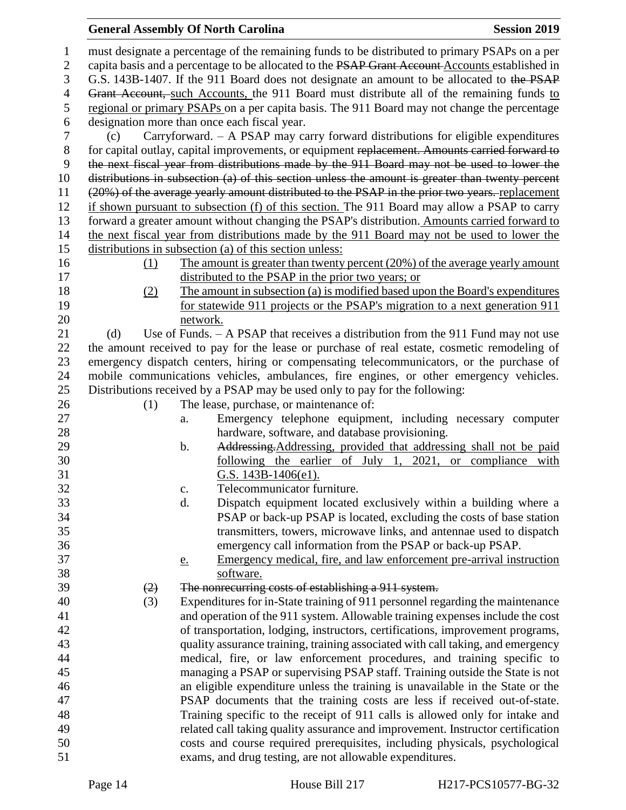#### **General Assembly Of North Carolina Session 2019 Session 2019**

 must designate a percentage of the remaining funds to be distributed to primary PSAPs on a per 2 capita basis and a percentage to be allocated to the PSAP Grant Account Accounts established in G.S. 143B-1407. If the 911 Board does not designate an amount to be allocated to the PSAP 4 Grant Account, such Accounts, the 911 Board must distribute all of the remaining funds to regional or primary PSAPs on a per capita basis. The 911 Board may not change the percentage designation more than once each fiscal year. (c) Carryforward. – A PSAP may carry forward distributions for eligible expenditures for capital outlay, capital improvements, or equipment replacement. Amounts carried forward to the next fiscal year from distributions made by the 911 Board may not be used to lower the distributions in subsection (a) of this section unless the amount is greater than twenty percent (20%) of the average yearly amount distributed to the PSAP in the prior two years. replacement if shown pursuant to subsection (f) of this section. The 911 Board may allow a PSAP to carry forward a greater amount without changing the PSAP's distribution. Amounts carried forward to the next fiscal year from distributions made by the 911 Board may not be used to lower the distributions in subsection (a) of this section unless: (1) The amount is greater than twenty percent (20%) of the average yearly amount distributed to the PSAP in the prior two years; or (2) The amount in subsection (a) is modified based upon the Board's expenditures for statewide 911 projects or the PSAP's migration to a next generation 911 network. 21 (d) Use of Funds. – A PSAP that receives a distribution from the 911 Fund may not use the amount received to pay for the lease or purchase of real estate, cosmetic remodeling of emergency dispatch centers, hiring or compensating telecommunicators, or the purchase of mobile communications vehicles, ambulances, fire engines, or other emergency vehicles. Distributions received by a PSAP may be used only to pay for the following: 26 (1) The lease, purchase, or maintenance of: a. Emergency telephone equipment, including necessary computer hardware, software, and database provisioning. 29 b. Addressing. Addressing, provided that addressing shall not be paid following the earlier of July 1, 2021, or compliance with G.S. 143B-1406(e1). c. Telecommunicator furniture. d. Dispatch equipment located exclusively within a building where a PSAP or back-up PSAP is located, excluding the costs of base station transmitters, towers, microwave links, and antennae used to dispatch emergency call information from the PSAP or back-up PSAP. e. Emergency medical, fire, and law enforcement pre-arrival instruction software.  $(2)$  The nonrecurring costs of establishing a 911 system. (3) Expenditures for in-State training of 911 personnel regarding the maintenance and operation of the 911 system. Allowable training expenses include the cost of transportation, lodging, instructors, certifications, improvement programs, quality assurance training, training associated with call taking, and emergency medical, fire, or law enforcement procedures, and training specific to managing a PSAP or supervising PSAP staff. Training outside the State is not an eligible expenditure unless the training is unavailable in the State or the PSAP documents that the training costs are less if received out-of-state. Training specific to the receipt of 911 calls is allowed only for intake and related call taking quality assurance and improvement. Instructor certification costs and course required prerequisites, including physicals, psychological exams, and drug testing, are not allowable expenditures.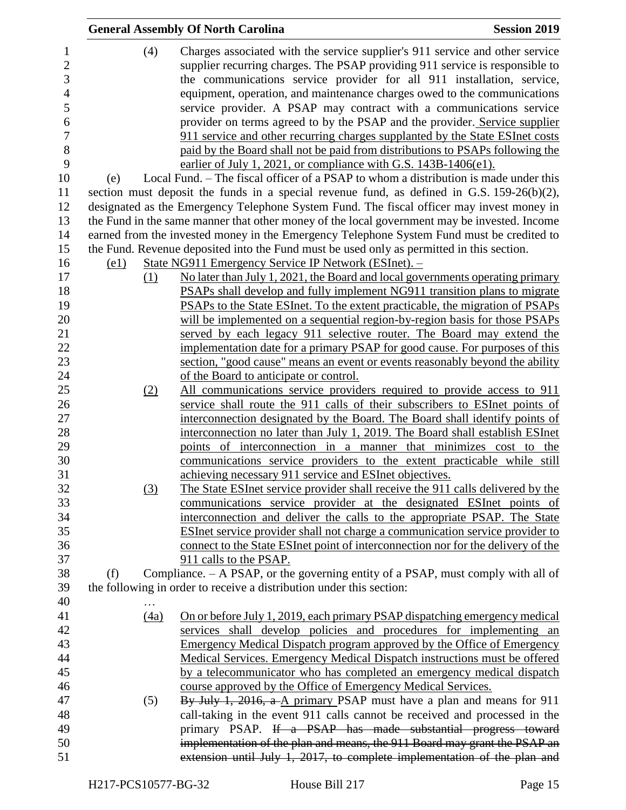|      | <b>General Assembly Of North Carolina</b>                                                     | <b>Session 2019</b> |
|------|-----------------------------------------------------------------------------------------------|---------------------|
| (4)  | Charges associated with the service supplier's 911 service and other service                  |                     |
|      | supplier recurring charges. The PSAP providing 911 service is responsible to                  |                     |
|      | the communications service provider for all 911 installation, service,                        |                     |
|      | equipment, operation, and maintenance charges owed to the communications                      |                     |
|      | service provider. A PSAP may contract with a communications service                           |                     |
|      | provider on terms agreed to by the PSAP and the provider. Service supplier                    |                     |
|      | 911 service and other recurring charges supplanted by the State ESInet costs                  |                     |
|      | paid by the Board shall not be paid from distributions to PSAPs following the                 |                     |
|      | earlier of July 1, 2021, or compliance with G.S. 143B-1406(e1).                               |                     |
| (e)  | Local Fund. – The fiscal officer of a PSAP to whom a distribution is made under this          |                     |
|      | section must deposit the funds in a special revenue fund, as defined in G.S. $159-26(b)(2)$ , |                     |
|      | designated as the Emergency Telephone System Fund. The fiscal officer may invest money in     |                     |
|      | the Fund in the same manner that other money of the local government may be invested. Income  |                     |
|      | earned from the invested money in the Emergency Telephone System Fund must be credited to     |                     |
|      | the Fund. Revenue deposited into the Fund must be used only as permitted in this section.     |                     |
| (e1) | State NG911 Emergency Service IP Network (ESInet). -                                          |                     |
| (1)  | No later than July 1, 2021, the Board and local governments operating primary                 |                     |
|      | PSAPs shall develop and fully implement NG911 transition plans to migrate                     |                     |
|      | PSAPs to the State ESInet. To the extent practicable, the migration of PSAPs                  |                     |
|      | will be implemented on a sequential region-by-region basis for those PSAPs                    |                     |
|      | served by each legacy 911 selective router. The Board may extend the                          |                     |
|      | implementation date for a primary PSAP for good cause. For purposes of this                   |                     |
|      | section, "good cause" means an event or events reasonably beyond the ability                  |                     |
|      | of the Board to anticipate or control.                                                        |                     |
| (2)  | All communications service providers required to provide access to 911                        |                     |
|      | service shall route the 911 calls of their subscribers to ESInet points of                    |                     |
|      | interconnection designated by the Board. The Board shall identify points of                   |                     |
|      | interconnection no later than July 1, 2019. The Board shall establish ESInet                  |                     |
|      | points of interconnection in a manner that minimizes cost to the                              |                     |
|      | communications service providers to the extent practicable while still                        |                     |
|      | achieving necessary 911 service and ESInet objectives.                                        |                     |
| (3)  | The State ESInet service provider shall receive the 911 calls delivered by the                |                     |
|      | communications service provider at the designated ESInet points of                            |                     |
|      | interconnection and deliver the calls to the appropriate PSAP. The State                      |                     |
|      | <b>ESInet service provider shall not charge a communication service provider to</b>           |                     |
|      | connect to the State ESInet point of interconnection nor for the delivery of the              |                     |
|      | 911 calls to the PSAP.                                                                        |                     |
| (f)  | Compliance. – A PSAP, or the governing entity of a PSAP, must comply with all of              |                     |
|      | the following in order to receive a distribution under this section:                          |                     |
|      |                                                                                               |                     |
| (4a) | On or before July 1, 2019, each primary PSAP dispatching emergency medical                    |                     |
|      | services shall develop policies and procedures for implementing an                            |                     |
|      | <b>Emergency Medical Dispatch program approved by the Office of Emergency</b>                 |                     |
|      | Medical Services. Emergency Medical Dispatch instructions must be offered                     |                     |
|      | by a telecommunicator who has completed an emergency medical dispatch                         |                     |
|      | course approved by the Office of Emergency Medical Services.                                  |                     |
| (5)  | By July 1, 2016, a A primary PSAP must have a plan and means for 911                          |                     |
|      | call-taking in the event 911 calls cannot be received and processed in the                    |                     |
|      | primary PSAP. If a PSAP has made substantial progress toward                                  |                     |
|      | implementation of the plan and means, the 911 Board may grant the PSAP an                     |                     |
|      | extension until July 1, 2017, to complete implementation of the plan and                      |                     |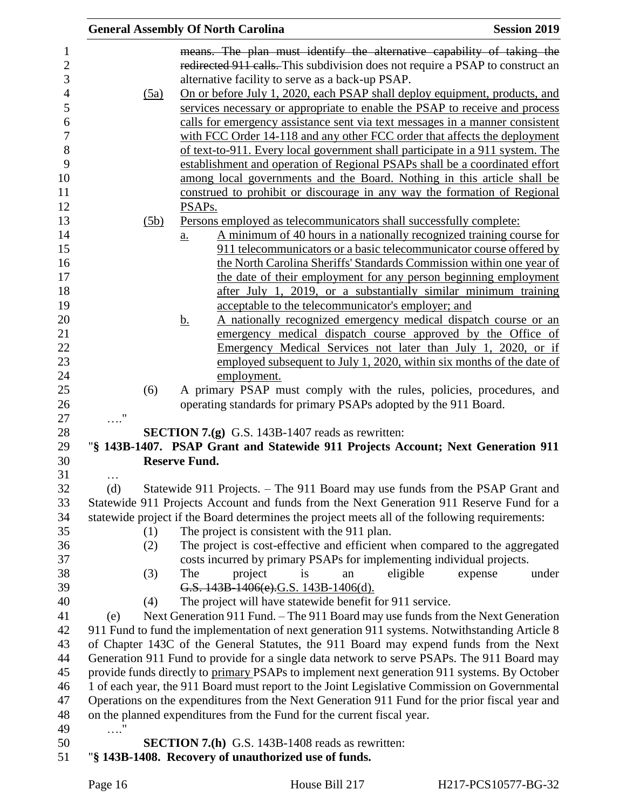|          | <b>General Assembly Of North Carolina</b><br><b>Session 2019</b>                                                |
|----------|-----------------------------------------------------------------------------------------------------------------|
|          | means. The plan must identify the alternative capability of taking the                                          |
|          | redirected 911 calls. This subdivision does not require a PSAP to construct an                                  |
|          | alternative facility to serve as a back-up PSAP.                                                                |
| (5a)     | On or before July 1, 2020, each PSAP shall deploy equipment, products, and                                      |
|          | services necessary or appropriate to enable the PSAP to receive and process                                     |
|          | calls for emergency assistance sent via text messages in a manner consistent                                    |
|          | with FCC Order 14-118 and any other FCC order that affects the deployment                                       |
|          | of text-to-911. Every local government shall participate in a 911 system. The                                   |
|          | establishment and operation of Regional PSAPs shall be a coordinated effort                                     |
|          | among local governments and the Board. Nothing in this article shall be                                         |
|          | construed to prohibit or discourage in any way the formation of Regional                                        |
|          | PSAP <sub>s.</sub>                                                                                              |
| (5b)     | <u>Persons employed as telecommunicators shall successfully complete:</u>                                       |
|          | A minimum of 40 hours in a nationally recognized training course for<br>$\underline{a}$ .                       |
|          | 911 telecommunicators or a basic telecommunicator course offered by                                             |
|          | the North Carolina Sheriffs' Standards Commission within one year of                                            |
|          | the date of their employment for any person beginning employment                                                |
|          | after July 1, 2019, or a substantially similar minimum training                                                 |
|          | acceptable to the telecommunicator's employer; and                                                              |
|          | A nationally recognized emergency medical dispatch course or an<br><u>b.</u>                                    |
|          | emergency medical dispatch course approved by the Office of                                                     |
|          | Emergency Medical Services not later than July 1, 2020, or if                                                   |
|          | employed subsequent to July 1, 2020, within six months of the date of                                           |
|          | employment.                                                                                                     |
| (6)      | A primary PSAP must comply with the rules, policies, procedures, and                                            |
|          | operating standards for primary PSAPs adopted by the 911 Board.                                                 |
|          |                                                                                                                 |
|          | <b>SECTION 7.(g)</b> G.S. 143B-1407 reads as rewritten:                                                         |
|          | "§ 143B-1407. PSAP Grant and Statewide 911 Projects Account; Next Generation 911                                |
|          | <b>Reserve Fund.</b>                                                                                            |
| $\cdots$ |                                                                                                                 |
| (d)      | Statewide 911 Projects. – The 911 Board may use funds from the PSAP Grant and                                   |
|          | Statewide 911 Projects Account and funds from the Next Generation 911 Reserve Fund for a                        |
|          | statewide project if the Board determines the project meets all of the following requirements:                  |
| (1)      | The project is consistent with the 911 plan.                                                                    |
| (2)      | The project is cost-effective and efficient when compared to the aggregated                                     |
|          | costs incurred by primary PSAPs for implementing individual projects.<br>The                                    |
| (3)      | project<br>eligible<br>under<br>is<br>expense<br>an<br>G.S. 143B-1406(e).G.S. 143B-1406(d).                     |
|          | The project will have statewide benefit for 911 service.                                                        |
| (4)      | Next Generation 911 Fund. – The 911 Board may use funds from the Next Generation                                |
| (e)      | 911 Fund to fund the implementation of next generation 911 systems. Notwithstanding Article 8                   |
|          | of Chapter 143C of the General Statutes, the 911 Board may expend funds from the Next                           |
|          | Generation 911 Fund to provide for a single data network to serve PSAPs. The 911 Board may                      |
|          | provide funds directly to primary PSAPs to implement next generation 911 systems. By October                    |
|          | 1 of each year, the 911 Board must report to the Joint Legislative Commission on Governmental                   |
|          | Operations on the expenditures from the Next Generation 911 Fund for the prior fiscal year and                  |
|          | on the planned expenditures from the Fund for the current fiscal year.                                          |
| . '      |                                                                                                                 |
|          |                                                                                                                 |
|          |                                                                                                                 |
|          | <b>SECTION 7.(h)</b> G.S. 143B-1408 reads as rewritten:<br>"§ 143B-1408. Recovery of unauthorized use of funds. |